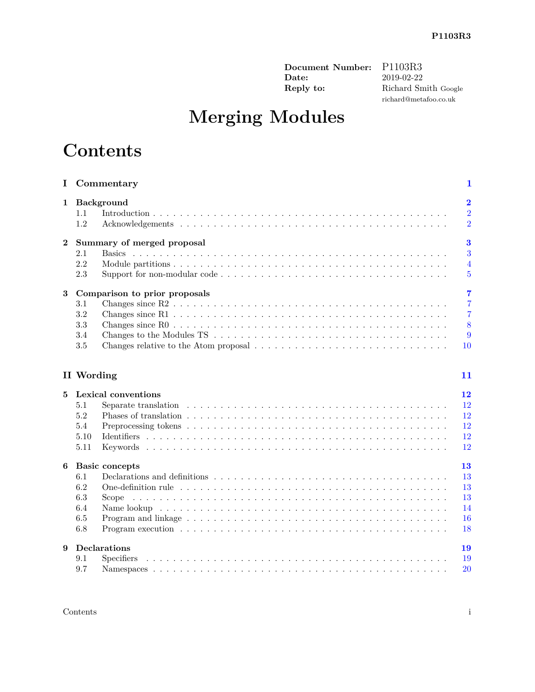**Document Number:** P1103R3<br> **Date:** 2019-02-22 **Date:** 2019-02-22<br>**Reply to:** Richard Sn

**Reply to:** Richard Smith Google richard@metafoo.co.uk

# **Merging Modules**

## **Contents**

| Ι.          | Commentary                                                                                                                                                                                              | $\mathbf 1$                                                        |
|-------------|---------------------------------------------------------------------------------------------------------------------------------------------------------------------------------------------------------|--------------------------------------------------------------------|
| $\mathbf 1$ | Background<br>1.1<br>1.2                                                                                                                                                                                | $\overline{\mathbf{2}}$<br>$\overline{2}$<br>$\overline{2}$        |
| $\bf{2}$    | Summary of merged proposal<br>2.1<br>2.2<br>2.3                                                                                                                                                         | $\bf{3}$<br>3<br>$\overline{4}$<br>$\overline{5}$                  |
| 3           | Comparison to prior proposals<br>3.1<br>3.2<br>3.3<br>3.4<br>3.5                                                                                                                                        | $\overline{7}$<br>$\overline{7}$<br>$\overline{7}$<br>8<br>9<br>10 |
|             | II Wording                                                                                                                                                                                              | 11                                                                 |
| 5           | Lexical conventions<br>5.1<br>5.2<br>5.4<br>5.10<br>5.11                                                                                                                                                | 12<br>12<br>12<br>12<br>12<br>12                                   |
| 6           | <b>Basic concepts</b><br>6.1<br>6.2<br>6.3<br>Scope<br>6.4<br>6.5<br>Program and linkage $\dots \dots \dots \dots \dots \dots \dots \dots \dots \dots \dots \dots \dots \dots \dots \dots \dots$<br>6.8 | 13<br>13<br>13<br>13<br>14<br>16<br>18                             |
| 9           | Declarations<br>9.1<br>9.7                                                                                                                                                                              | 19<br>19<br>20                                                     |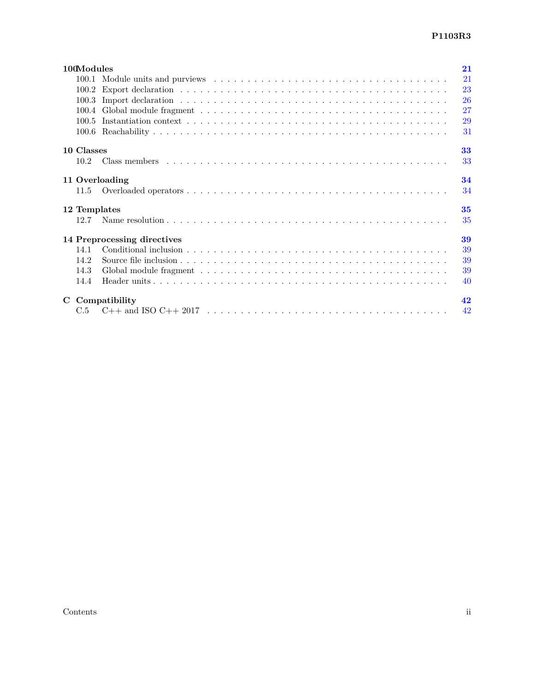| 100Modules<br>21                                                                                                             |    |  |  |  |  |
|------------------------------------------------------------------------------------------------------------------------------|----|--|--|--|--|
|                                                                                                                              | 21 |  |  |  |  |
|                                                                                                                              | 23 |  |  |  |  |
|                                                                                                                              | 26 |  |  |  |  |
|                                                                                                                              | 27 |  |  |  |  |
|                                                                                                                              | 29 |  |  |  |  |
|                                                                                                                              | 31 |  |  |  |  |
| 10 Classes                                                                                                                   | 33 |  |  |  |  |
| $10.2^{\circ}$                                                                                                               | 33 |  |  |  |  |
| 11 Overloading                                                                                                               | 34 |  |  |  |  |
| 11.5                                                                                                                         | 34 |  |  |  |  |
| 35<br>12 Templates                                                                                                           |    |  |  |  |  |
| 12.7                                                                                                                         | 35 |  |  |  |  |
| 14 Preprocessing directives<br>39                                                                                            |    |  |  |  |  |
| 14.1                                                                                                                         | 39 |  |  |  |  |
| 14.2                                                                                                                         | 39 |  |  |  |  |
| 14.3                                                                                                                         | 39 |  |  |  |  |
| 14.4                                                                                                                         | 40 |  |  |  |  |
| 42<br>C Compatibility                                                                                                        |    |  |  |  |  |
| $C++$ and ISO $C++$ 2017 $\ldots \ldots \ldots \ldots \ldots \ldots \ldots \ldots \ldots \ldots \ldots \ldots \ldots$<br>C.5 | 42 |  |  |  |  |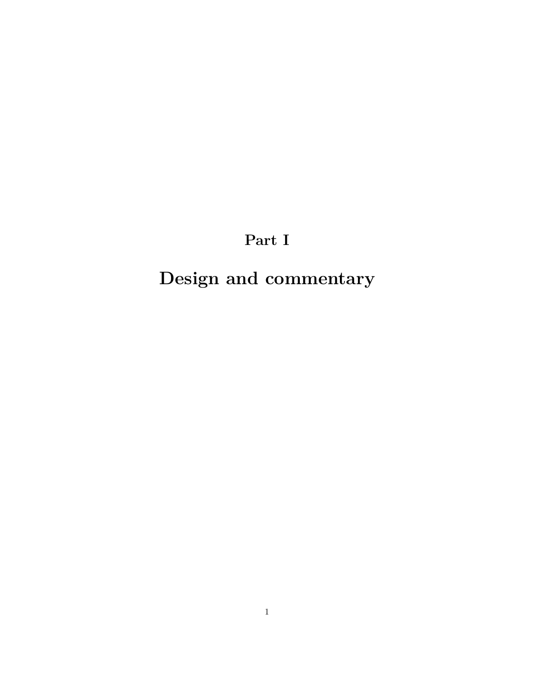**Part I**

# <span id="page-2-0"></span>**Design and commentary**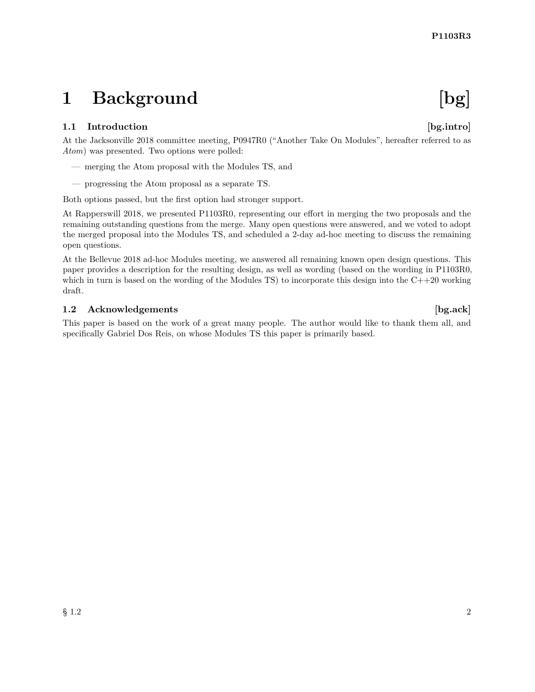## <span id="page-3-0"></span>**1 Background [bg]**

### <span id="page-3-1"></span>**1.1 Introduction [bg.intro]**

At the Jacksonville 2018 committee meeting, P0947R0 ("Another Take On Modules", hereafter referred to as *Atom*) was presented. Two options were polled:

- merging the Atom proposal with the Modules TS, and
- progressing the Atom proposal as a separate TS.

Both options passed, but the first option had stronger support.

At Rapperswill 2018, we presented P1103R0, representing our effort in merging the two proposals and the remaining outstanding questions from the merge. Many open questions were answered, and we voted to adopt the merged proposal into the Modules TS, and scheduled a 2-day ad-hoc meeting to discuss the remaining open questions.

At the Bellevue 2018 ad-hoc Modules meeting, we answered all remaining known open design questions. This paper provides a description for the resulting design, as well as wording (based on the wording in P1103R0, which in turn is based on the wording of the Modules TS) to incorporate this design into the  $C++20$  working draft.

#### <span id="page-3-2"></span>**1.2** Acknowledgements [bg.ack]

This paper is based on the work of a great many people. The author would like to thank them all, and specifically Gabriel Dos Reis, on whose Modules TS this paper is primarily based.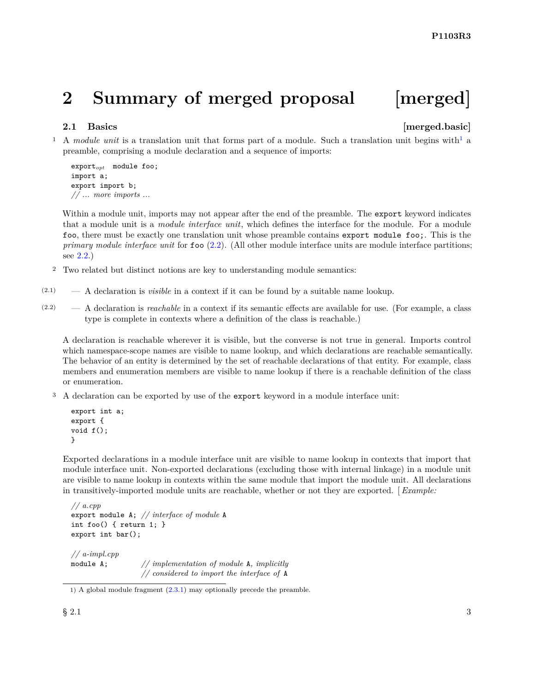## <span id="page-4-0"></span>**2 Summary of merged proposal [merged]**

#### <span id="page-4-1"></span>**2.1** Basics **interval EXECUTE:** *merged.basic* **interval**

<sup>[1](#page-4-2)</sup> A *module unit* is a translation unit that forms part of a module. Such a translation unit begins with<sup>1</sup> a preamble, comprising a module declaration and a sequence of imports:

```
exportopt module foo;
import a;
export import b;
// ... more imports ...
```
Within a module unit, imports may not appear after the end of the preamble. The **export** keyword indicates that a module unit is a *module interface unit*, which defines the interface for the module. For a module foo, there must be exactly one translation unit whose preamble contains export module foo;. This is the *primary module interface unit* for foo [\(2.2\)](#page-5-0). (All other module interface units are module interface partitions; see [2.2.](#page-5-0))

- <sup>2</sup> Two related but distinct notions are key to understanding module semantics:
- (2.1) A declaration is *visible* in a context if it can be found by a suitable name lookup.
- (2.2) A declaration is *reachable* in a context if its semantic effects are available for use. (For example, a class type is complete in contexts where a definition of the class is reachable.)

A declaration is reachable wherever it is visible, but the converse is not true in general. Imports control which namespace-scope names are visible to name lookup, and which declarations are reachable semantically. The behavior of an entity is determined by the set of reachable declarations of that entity. For example, class members and enumeration members are visible to name lookup if there is a reachable definition of the class or enumeration.

<sup>3</sup> A declaration can be exported by use of the export keyword in a module interface unit:

```
export int a;
export {
void f();
}
```
Exported declarations in a module interface unit are visible to name lookup in contexts that import that module interface unit. Non-exported declarations (excluding those with internal linkage) in a module unit are visible to name lookup in contexts within the same module that import the module unit. All declarations in transitively-imported module units are reachable, whether or not they are exported. [ *Example:*

```
// a.cpp
export module A; // interface of module A
int foo() { return 1; }
export int bar();
// a-impl.cpp
module A; // implementation of module A, implicitly
                  // considered to import the interface of A
```
<span id="page-4-2"></span><sup>1)</sup> A global module fragment [\(2.3.1\)](#page-6-1) may optionally precede the preamble.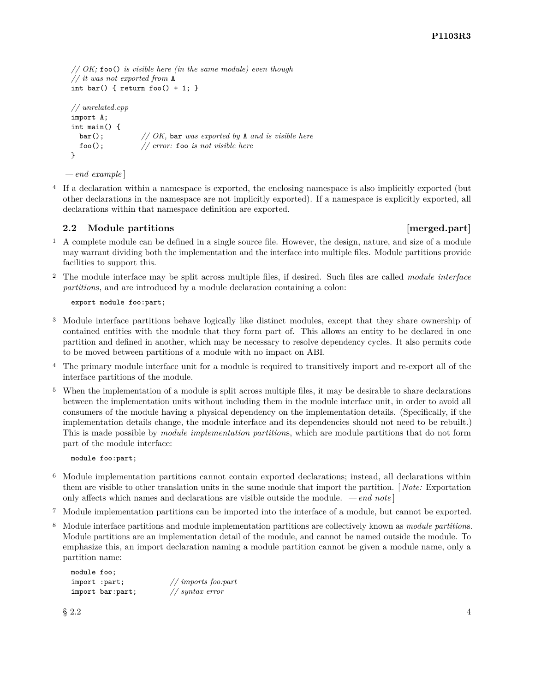```
// OK; foo() is visible here (in the same module) even though
// it was not exported from A
int bar() { return foo() + 1; }
// unrelated.cpp
import A;
int main() {
  bar(); // OK, bar was exported by A and is visible here
  foo(); // error: foo is not visible here
}
```
*— end example* ]

<sup>4</sup> If a declaration within a namespace is exported, the enclosing namespace is also implicitly exported (but other declarations in the namespace are not implicitly exported). If a namespace is explicitly exported, all declarations within that namespace definition are exported.

#### <span id="page-5-0"></span>**2.2** Module partitions **in the set of the set of the set of the set of the set of the set of the set of the set of the set of the set of the set of the set of the set of the set of the set of the set of the set of the set**

- <sup>1</sup> A complete module can be defined in a single source file. However, the design, nature, and size of a module may warrant dividing both the implementation and the interface into multiple files. Module partitions provide facilities to support this.
- <sup>2</sup> The module interface may be split across multiple files, if desired. Such files are called *module interface partition*s, and are introduced by a module declaration containing a colon:

export module foo:part;

- <sup>3</sup> Module interface partitions behave logically like distinct modules, except that they share ownership of contained entities with the module that they form part of. This allows an entity to be declared in one partition and defined in another, which may be necessary to resolve dependency cycles. It also permits code to be moved between partitions of a module with no impact on ABI.
- <sup>4</sup> The primary module interface unit for a module is required to transitively import and re-export all of the interface partitions of the module.
- <sup>5</sup> When the implementation of a module is split across multiple files, it may be desirable to share declarations between the implementation units without including them in the module interface unit, in order to avoid all consumers of the module having a physical dependency on the implementation details. (Specifically, if the implementation details change, the module interface and its dependencies should not need to be rebuilt.) This is made possible by *module implementation partition*s, which are module partitions that do not form part of the module interface:

module foo:part;

- <sup>6</sup> Module implementation partitions cannot contain exported declarations; instead, all declarations within them are visible to other translation units in the same module that import the partition. [ *Note:* Exportation only affects which names and declarations are visible outside the module. *— end note* ]
- <sup>7</sup> Module implementation partitions can be imported into the interface of a module, but cannot be exported.
- <sup>8</sup> Module interface partitions and module implementation partitions are collectively known as *module partition*s. Module partitions are an implementation detail of the module, and cannot be named outside the module. To emphasize this, an import declaration naming a module partition cannot be given a module name, only a partition name:

```
module foo;
import :part; // imports foo:part
import bar:part;
```
 $\S 2.2$  4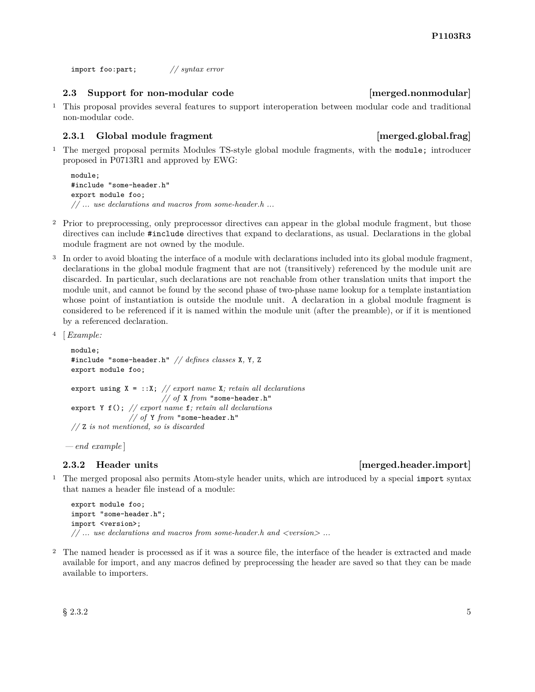import foo:part; *// syntax error*

#### <span id="page-6-0"></span>**2.3 Support for non-modular code [merged.nonmodular]**

<sup>1</sup> This proposal provides several features to support interoperation between modular code and traditional non-modular code.

#### <span id="page-6-1"></span>**2.3.1 Global module fragment comparison in the set of the set of the set of the set of the set of the set of the set of the set of the set of the set of the set of the set of the set of the set of the set of the set of th**

<sup>1</sup> The merged proposal permits Modules TS-style global module fragments, with the module; introducer proposed in P0713R1 and approved by EWG:

```
module;
#include "some-header.h"
export module foo;
// ... use declarations and macros from some-header.h ...
```
- <sup>2</sup> Prior to preprocessing, only preprocessor directives can appear in the global module fragment, but those directives can include #include directives that expand to declarations, as usual. Declarations in the global module fragment are not owned by the module.
- <sup>3</sup> In order to avoid bloating the interface of a module with declarations included into its global module fragment, declarations in the global module fragment that are not (transitively) referenced by the module unit are discarded. In particular, such declarations are not reachable from other translation units that import the module unit, and cannot be found by the second phase of two-phase name lookup for a template instantiation whose point of instantiation is outside the module unit. A declaration in a global module fragment is considered to be referenced if it is named within the module unit (after the preamble), or if it is mentioned by a referenced declaration.

```
4 [Example:
```

```
module;
#include "some-header.h" // defines classes X, Y, Z
export module foo;
export using X = ::X; // export name X; retain all declarations
                        // of X from "some-header.h"
export Y f(); // export name f; retain all declarations
               // of Y from "some-header.h"
// Z is not mentioned, so is discarded
```
*— end example* ]

<sup>1</sup> The merged proposal also permits Atom-style header units, which are introduced by a special import syntax that names a header file instead of a module:

export module foo; import "some-header.h"; import <version>; *// ... use declarations and macros from some-header.h and <version> ...*

<sup>2</sup> The named header is processed as if it was a source file, the interface of the header is extracted and made available for import, and any macros defined by preprocessing the header are saved so that they can be made available to importers.

### **2.3.2 Header units [merged.header.import]**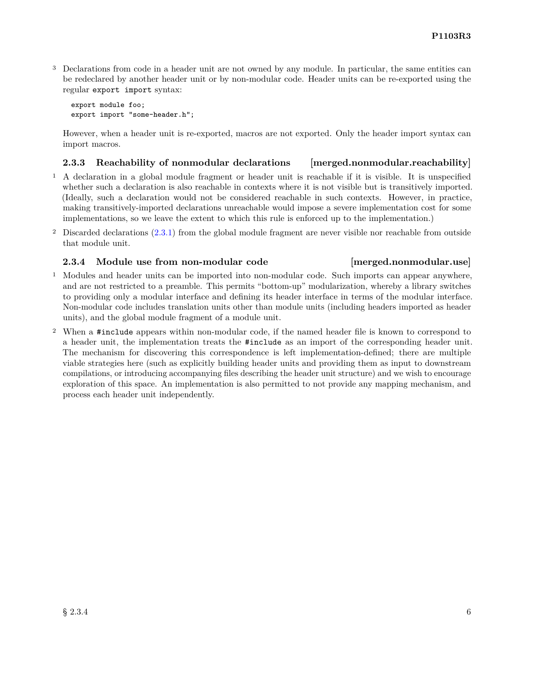<sup>3</sup> Declarations from code in a header unit are not owned by any module. In particular, the same entities can be redeclared by another header unit or by non-modular code. Header units can be re-exported using the regular export import syntax:

export module foo; export import "some-header.h";

However, when a header unit is re-exported, macros are not exported. Only the header import syntax can import macros.

#### <span id="page-7-0"></span>**2.3.3 Reachability of nonmodular declarations [merged.nonmodular.reachability]**

- <sup>1</sup> A declaration in a global module fragment or header unit is reachable if it is visible. It is unspecified whether such a declaration is also reachable in contexts where it is not visible but is transitively imported. (Ideally, such a declaration would not be considered reachable in such contexts. However, in practice, making transitively-imported declarations unreachable would impose a severe implementation cost for some implementations, so we leave the extent to which this rule is enforced up to the implementation.)
- <sup>2</sup> Discarded declarations [\(2.3.1\)](#page-6-1) from the global module fragment are never visible nor reachable from outside that module unit.

#### **2.3.4 Module use from non-modular code [merged.nonmodular.use]**

- <sup>1</sup> Modules and header units can be imported into non-modular code. Such imports can appear anywhere, and are not restricted to a preamble. This permits "bottom-up" modularization, whereby a library switches to providing only a modular interface and defining its header interface in terms of the modular interface. Non-modular code includes translation units other than module units (including headers imported as header units), and the global module fragment of a module unit.
- <sup>2</sup> When a #include appears within non-modular code, if the named header file is known to correspond to a header unit, the implementation treats the #include as an import of the corresponding header unit. The mechanism for discovering this correspondence is left implementation-defined; there are multiple viable strategies here (such as explicitly building header units and providing them as input to downstream compilations, or introducing accompanying files describing the header unit structure) and we wish to encourage exploration of this space. An implementation is also permitted to not provide any mapping mechanism, and process each header unit independently.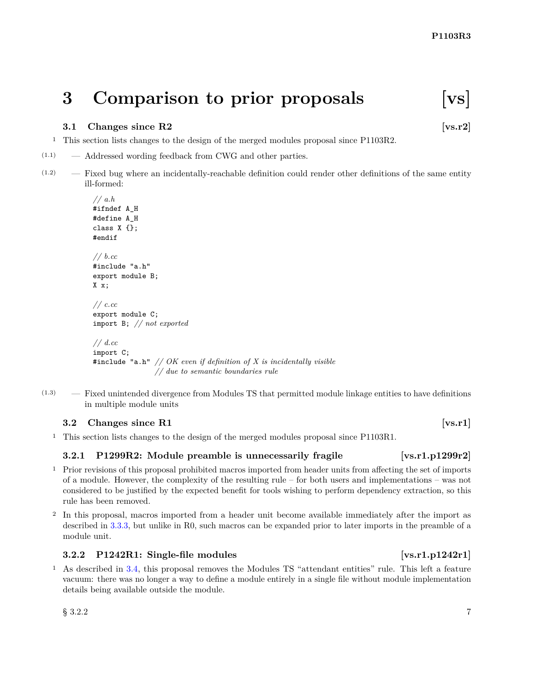## <span id="page-8-0"></span>**3 Comparison to prior proposals [vs]**

#### <span id="page-8-1"></span>**3.1 Changes since R2** [vs.r2]

- <sup>1</sup> This section lists changes to the design of the merged modules proposal since P1103R2.
- (1.1) Addressed wording feedback from CWG and other parties.
- (1.2) Fixed bug where an incidentally-reachable definition could render other definitions of the same entity ill-formed:

```
// a.h
#ifndef A_H
#define A_H
class X {};
#endif
// b.cc
#include "a.h"
export module B;
X x;
// c.cc
export module C;
import B; // not exported
// d.cc
import C;
#include "a.h" // OK even if definition of X is incidentally visible
```
*// due to semantic boundaries rule*

(1.3) — Fixed unintended divergence from Modules TS that permitted module linkage entities to have definitions in multiple module units

#### <span id="page-8-2"></span>**3.2** Changes since R1 [vs.r1]

<sup>1</sup> This section lists changes to the design of the merged modules proposal since P1103R1.

#### **3.2.1 P1299R2:** Module preamble is unnecessarily fragile [vs.r1.p1299r2]

- <sup>1</sup> Prior revisions of this proposal prohibited macros imported from header units from affecting the set of imports of a module. However, the complexity of the resulting rule – for both users and implementations – was not considered to be justified by the expected benefit for tools wishing to perform dependency extraction, so this rule has been removed.
- <sup>2</sup> In this proposal, macros imported from a header unit become available immediately after the import as described in [3.3.3,](#page-10-1) but unlike in R0, such macros can be expanded prior to later imports in the preamble of a module unit.

#### **3.2.2 P1242R1: Single-file modules [vs.r1.p1242r1]**

<sup>1</sup> As described in [3.4,](#page-10-0) this proposal removes the Modules TS "attendant entities" rule. This left a feature vacuum: there was no longer a way to define a module entirely in a single file without module implementation details being available outside the module.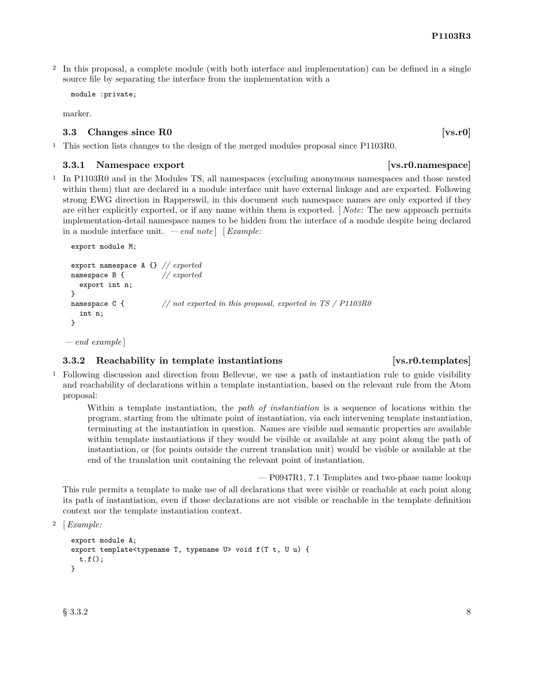<sup>2</sup> In this proposal, a complete module (with both interface and implementation) can be defined in a single source file by separating the interface from the implementation with a

```
module :private;
```
<span id="page-9-0"></span>marker.

#### **3.3** Changes since R0 **[vs.r0]**

<sup>1</sup> This section lists changes to the design of the merged modules proposal since P1103R0.

#### **3.3.1** Namespace export **and in the set of the set of the set of the set of vs.r0.namespace**

<sup>1</sup> In P1103R0 and in the Modules TS, all namespaces (excluding anonymous namespaces and those nested within them) that are declared in a module interface unit have external linkage and are exported. Following strong EWG direction in Rapperswil, in this document such namespace names are only exported if they are either explicitly exported, or if any name within them is exported. [ *Note:* The new approach permits implementation-detail namespace names to be hidden from the interface of a module despite being declared in a module interface unit. *— end note* ] [*Example:*

```
export module M;
```

```
export namespace A {} // exported
namespace B {
  export int n;
}
namespace C { // not exported in this proposal, exported in TS / P1103R0
  int n;
}
```
*— end example* ]

### **3.3.2** Reachability in template instantiations [vs.r0.templates]

<sup>1</sup> Following discussion and direction from Bellevue, we use a path of instantiation rule to guide visibility and reachability of declarations within a template instantiation, based on the relevant rule from the Atom proposal:

Within a template instantiation, the *path of instantiation* is a sequence of locations within the program, starting from the ultimate point of instantiation, via each intervening template instantiation, terminating at the instantiation in question. Names are visible and semantic properties are available within template instantiations if they would be visible or available at any point along the path of instantiation, or (for points outside the current translation unit) would be visible or available at the end of the translation unit containing the relevant point of instantiation.

— P0947R1, 7.1 Templates and two-phase name lookup

This rule permits a template to make use of all declarations that were visible or reachable at each point along its path of instantiation, even if those declarations are not visible or reachable in the template definition context nor the template instantiation context.

```
2 [Example:
```

```
export module A;
export template<typename T, typename U> void f(T t, U u) {
 t.f();
}
```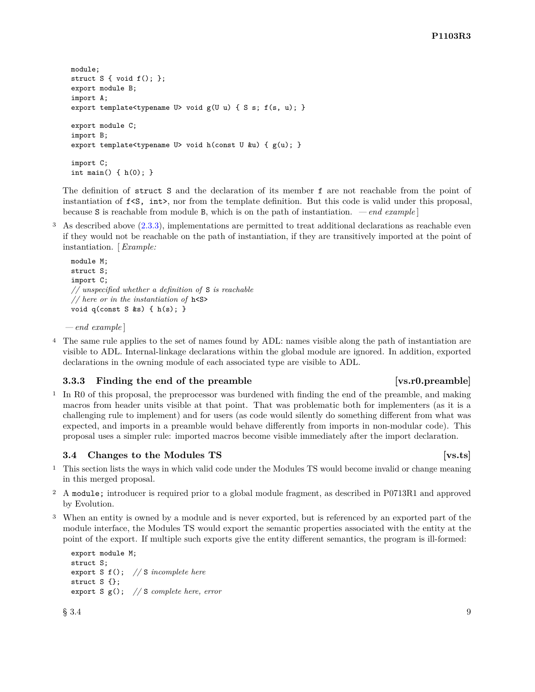```
module;
struct S \{ void f(); \};export module B;
import A;
export template<typename U> void g(U u) { S s; f(s, u); }
export module C;
import B;
export template<typename U> void h(const U &u) { g(u); }
import C;
int main() { h(0); }
```
The definition of struct S and the declaration of its member f are not reachable from the point of instantiation of f<S, int>, nor from the template definition. But this code is valid under this proposal, because S is reachable from module B, which is on the path of instantiation. *— end example* ]

<sup>3</sup> As described above [\(2.3.3\)](#page-7-0), implementations are permitted to treat additional declarations as reachable even if they would not be reachable on the path of instantiation, if they are transitively imported at the point of instantiation. [ *Example:*

```
module M;
struct S;
import C;
// unspecified whether a definition of S is reachable
// here or in the instantiation of h<S>
void q(const S &s) { h(s); }
```
*— end example* ]

<sup>4</sup> The same rule applies to the set of names found by ADL: names visible along the path of instantiation are visible to ADL. Internal-linkage declarations within the global module are ignored. In addition, exported declarations in the owning module of each associated type are visible to ADL.

#### <span id="page-10-1"></span>**3.3.3 Finding the end of the preamble [vs.r0.preamble]**

<sup>1</sup> In R0 of this proposal, the preprocessor was burdened with finding the end of the preamble, and making macros from header units visible at that point. That was problematic both for implementers (as it is a challenging rule to implement) and for users (as code would silently do something different from what was expected, and imports in a preamble would behave differently from imports in non-modular code). This proposal uses a simpler rule: imported macros become visible immediately after the import declaration.

#### <span id="page-10-0"></span>**3.4 Changes to the Modules TS** [vs.ts]

- <sup>1</sup> This section lists the ways in which valid code under the Modules TS would become invalid or change meaning in this merged proposal.
- <sup>2</sup> A module; introducer is required prior to a global module fragment, as described in P0713R1 and approved by Evolution.
- <sup>3</sup> When an entity is owned by a module and is never exported, but is referenced by an exported part of the module interface, the Modules TS would export the semantic properties associated with the entity at the point of the export. If multiple such exports give the entity different semantics, the program is ill-formed:

```
export module M;
struct S;
export S f(); // S incomplete here
struct S {};
export S g(); // S complete here, error
```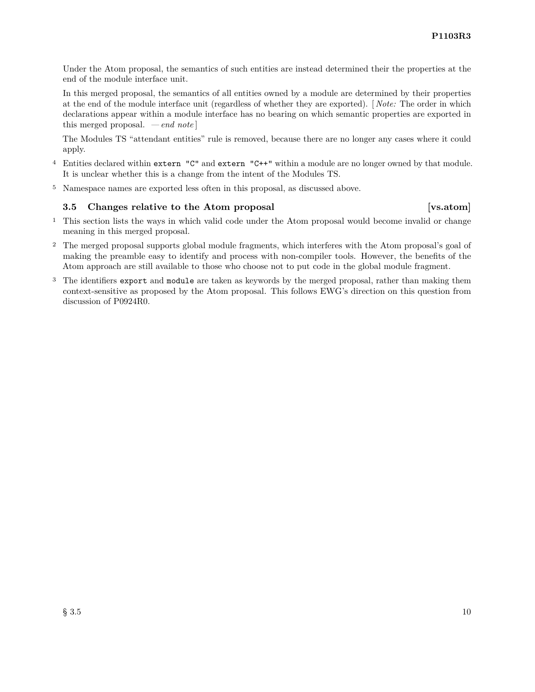Under the Atom proposal, the semantics of such entities are instead determined their the properties at the end of the module interface unit.

In this merged proposal, the semantics of all entities owned by a module are determined by their properties at the end of the module interface unit (regardless of whether they are exported). [ *Note:* The order in which declarations appear within a module interface has no bearing on which semantic properties are exported in this merged proposal. *— end note* ]

The Modules TS "attendant entities" rule is removed, because there are no longer any cases where it could apply.

- <sup>4</sup> Entities declared within extern "C" and extern "C++" within a module are no longer owned by that module. It is unclear whether this is a change from the intent of the Modules TS.
- <sup>5</sup> Namespace names are exported less often in this proposal, as discussed above.

#### <span id="page-11-0"></span>**3.5 Changes relative to the Atom proposal [vs.atom]**

- <sup>1</sup> This section lists the ways in which valid code under the Atom proposal would become invalid or change meaning in this merged proposal.
- <sup>2</sup> The merged proposal supports global module fragments, which interferes with the Atom proposal's goal of making the preamble easy to identify and process with non-compiler tools. However, the benefits of the Atom approach are still available to those who choose not to put code in the global module fragment.
- <sup>3</sup> The identifiers export and module are taken as keywords by the merged proposal, rather than making them context-sensitive as proposed by the Atom proposal. This follows EWG's direction on this question from discussion of P0924R0.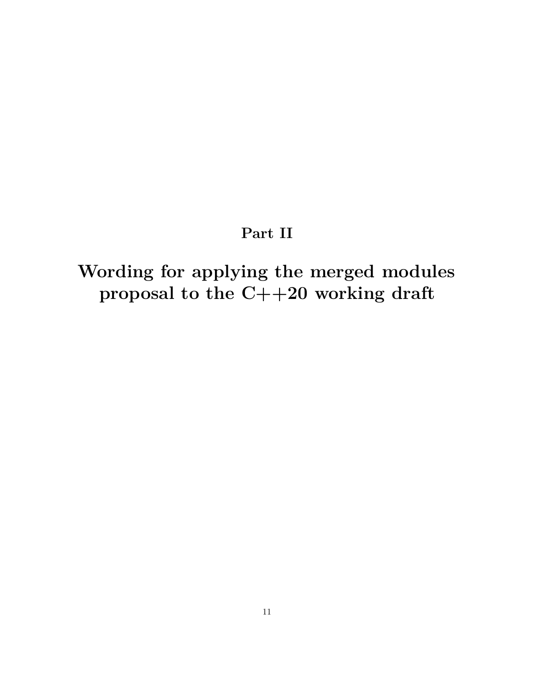## **Part II**

# <span id="page-12-0"></span>**Wording for applying the merged modules proposal to the C++20 working draft**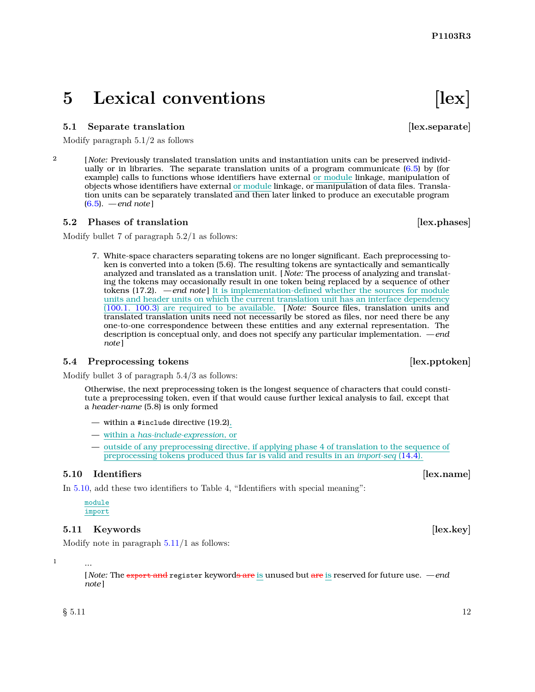## <span id="page-13-0"></span>**5** Lexical conventions [lex]

#### <span id="page-13-1"></span>**5.1** Separate translation *lex.separate*

Modify paragraph 5.1/2 as follows

2 [ *Note:* Previously translated translation units and instantiation units can be preserved individually or in libraries. The separate translation units of a program communicate [\(6.5\)](#page-17-0) by (for example) calls to functions whose identifiers have external or module linkage, manipulation of objects whose identifiers have external or module linkage, or manipulation of data files. Translation units can be separately translated and then later linked to produce an executable program [\(6.5\)](#page-17-0). *— end note* ]

#### <span id="page-13-2"></span>**5.2 Phases of translation** [lex.phases]

Modify bullet 7 of paragraph 5.2/1 as follows:

7. White-space characters separating tokens are no longer significant. Each preprocessing token is converted into a token (5.6). The resulting tokens are syntactically and semantically analyzed and translated as a translation unit. [ *Note:* The process of analyzing and translating the tokens may occasionally result in one token being replaced by a sequence of other tokens (17.2). *— end note* ] It is implementation-defined whether the sources for module units and header units on which the current translation unit has an interface dependency [\(100.1,](#page-22-1) [100.3\)](#page-27-0) are required to be available. [ *Note:* Source files, translation units and translated translation units need not necessarily be stored as files, nor need there be any one-to-one correspondence between these entities and any external representation. The description is conceptual only, and does not specify any particular implementation. *— end note* ]

#### <span id="page-13-3"></span>**5.4 Preprocessing tokens** *lex.pptoken*

Modify bullet 3 of paragraph 5.4/3 as follows:

Otherwise, the next preprocessing token is the longest sequence of characters that could constitute a preprocessing token, even if that would cause further lexical analysis to fail, except that a *header-name* (5.8) is only formed

- within a #include directive (19.2),
- within a *has-include-expression*, or
- outside of any preprocessing directive, if applying phase 4 of translation to the sequence of preprocessing tokens produced thus far is valid and results in an *import-seq* [\(14.4\)](#page-41-0).

#### <span id="page-13-4"></span>**5.10 Identifiers and Identifiers** *lex.name*

In [5.10,](#page-13-4) add these two identifiers to Table 4, "Identifiers with special meaning":

module import

#### <span id="page-13-5"></span>**5.11 Keywords** [lex.key]

Modify note in paragraph  $5.11/1$  $5.11/1$  as follows:

1 ...

[ *Note:* The export and register keywords are is unused but are is reserved for future use. *— end note* ]

 $\S$  5.11 12

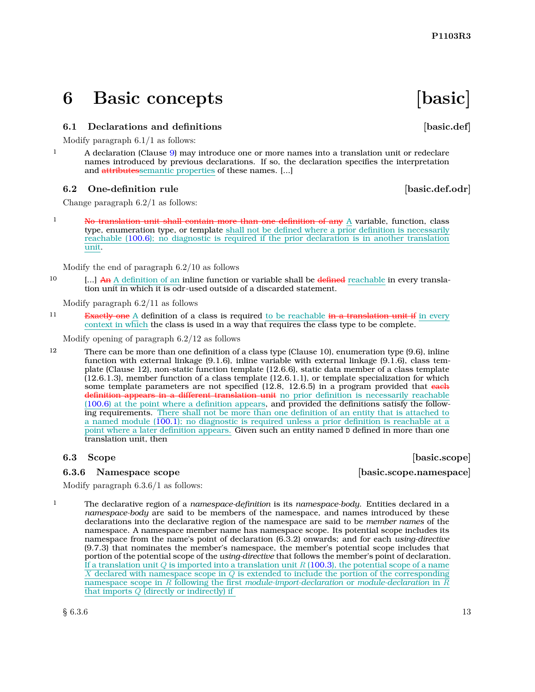**P1103R3**

## <span id="page-14-0"></span>**6 Basic concepts [basic]**

## <span id="page-14-1"></span>**6.1** Declarations and definitions **basic.def**

Modify paragraph 6.1/1 as follows:

<sup>1</sup> A declaration (Clause [9\)](#page-20-0) may introduce one or more names into a translation unit or redeclare names introduced by previous declarations. If so, the declaration specifies the interpretation and attributessemantic properties of these names. [...]

### <span id="page-14-2"></span>**6.2** One-definition rule **and in the set of the set of the set of the set of the set of the set of the set of the set of the set of the set of the set of the set of the set of the set of the set of the set of the set of t**

Change paragraph 6.2/1 as follows:

<sup>1</sup> No translation unit shall contain more than one definition of any A variable, function, class type, enumeration type, or template shall not be defined where a prior definition is necessarily reachable [\(100.6\)](#page-32-0); no diagnostic is required if the prior declaration is in another translation unit.

Modify the end of paragraph 6.2/10 as follows

 $10$  [...] An A definition of an inline function or variable shall be defined reachable in every translation unit in which it is odr-used outside of a discarded statement.

Modify paragraph 6.2/11 as follows

<sup>11</sup> Exactly one A definition of a class is required to be reachable in a translation unit if in every context in which the class is used in a way that requires the class type to be complete.

Modify opening of paragraph 6.2/12 as follows

12 There can be more than one definition of a class type (Clause 10), enumeration type (9.6), inline function with external linkage (9.1.6), inline variable with external linkage (9.1.6), class template (Clause 12), non-static function template (12.6.6), static data member of a class template (12.6.1.3), member function of a class template (12.6.1.1), or template specialization for which some template parameters are not specified  $(12.8, 12.6.5)$  in a program provided that each definition appears in a different translation unit no prior definition is necessarily reachable [\(100.6\)](#page-32-0) at the point where a definition appears, and provided the definitions satisfy the following requirements. There shall not be more than one definition of an entity that is attached to a named module [\(100.1\)](#page-22-1); no diagnostic is required unless a prior definition is reachable at a point where a later definition appears. Given such an entity named D defined in more than one translation unit, then

### <span id="page-14-4"></span>**6.3.6 Namespace scope [basic.scope.namespace]**

<span id="page-14-3"></span>**6.3 Scope [basic.scope]** 

Modify paragraph 6.3.6/1 as follows:

1 The declarative region of a *namespace-definition* is its *namespace-body*. Entities declared in a *namespace-body* are said to be members of the namespace, and names introduced by these declarations into the declarative region of the namespace are said to be *member names* of the namespace. A namespace member name has namespace scope. Its potential scope includes its namespace from the name's point of declaration (6.3.2) onwards; and for each *using-directive* (9.7.3) that nominates the member's namespace, the member's potential scope includes that portion of the potential scope of the *using-directive* that follows the member's point of declaration. If a translation unit *Q* is imported into a translation unit *R* [\(100.3\)](#page-27-0), the potential scope of a name *X* declared with namespace scope in *Q* is extended to include the portion of the corresponding namespace scope in *R* following the first *module-import-declaration* or *module-declaration* in *R* that imports *Q* (directly or indirectly) if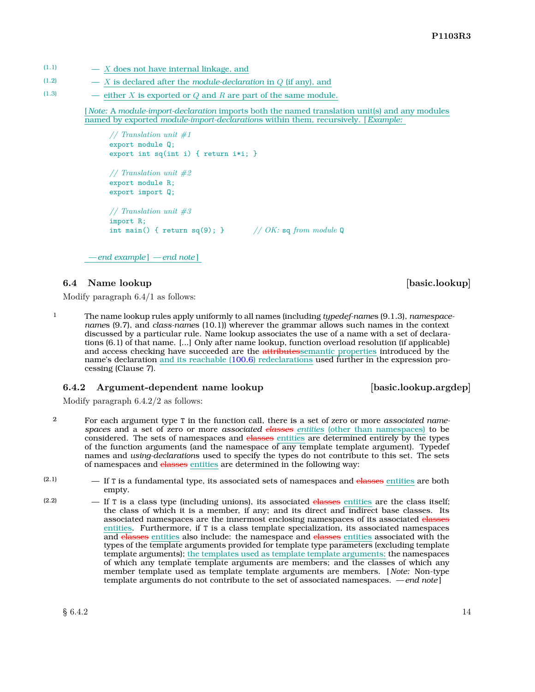- $(1.1)$   $X$  does not have internal linkage, and
- $(1.2)$   $X$  is declared after the *module-declaration* in *Q* (if any), and
- (1.3) either *X* is exported or *Q* and *R* are part of the same module.

[ *Note:* A *module-import-declaration* imports both the named translation unit(s) and any modules named by exported *module-import-declaration*s within them, recursively. [*Example:*

*// Translation unit #1* export module Q; export int sq(int i) { return i\*i; } *// Translation unit #2* export module R; export import Q; *// Translation unit #3* import R; int main() { return sq(9); } *// OK:* sq *from module* Q

*— end example* ] *— end note* ]

#### <span id="page-15-0"></span>**6.4** Name lookup **basic.lookup** [basic.lookup]

Modify paragraph 6.4/1 as follows:

1 The name lookup rules apply uniformly to all names (including *typedef-name*s (9.1.3), *namespacename*s (9.7), and *class-name*s (10.1)) wherever the grammar allows such names in the context discussed by a particular rule. Name lookup associates the use of a name with a set of declarations (6.1) of that name. [...] Only after name lookup, function overload resolution (if applicable) and access checking have succeeded are the attributessemantic properties introduced by the name's declaration and its reachable [\(100.6\)](#page-32-0) redeclarations used further in the expression processing (Clause 7).

#### <span id="page-15-1"></span>**6.4.2** Argument-dependent name lookup [basic.lookup.argdep]

Modify paragraph 6.4.2/2 as follows:

- <sup>2</sup> For each argument type T in the function call, there is a set of zero or more *associated namespaces* and a set of zero or more *associated classes entities* (other than namespaces) to be considered. The sets of namespaces and classes entities are determined entirely by the types of the function arguments (and the namespace of any template template argument). Typedef names and *using-declaration*s used to specify the types do not contribute to this set. The sets of namespaces and classes entities are determined in the following way:
- $(2.1)$  If T is a fundamental type, its associated sets of namespaces and elasses entities are both empty.
- $(2.2)$  If T is a class type (including unions), its associated classes entities are the class itself; the class of which it is a member, if any; and its direct and indirect base classes. Its associated namespaces are the innermost enclosing namespaces of its associated classes entities. Furthermore, if T is a class template specialization, its associated namespaces and classes entities also include: the namespace and classes entities associated with the types of the template arguments provided for template type parameters (excluding template template arguments); the templates used as template template arguments; the namespaces of which any template template arguments are members; and the classes of which any member template used as template template arguments are members. [ *Note:* Non-type template arguments do not contribute to the set of associated namespaces. *— end note* ]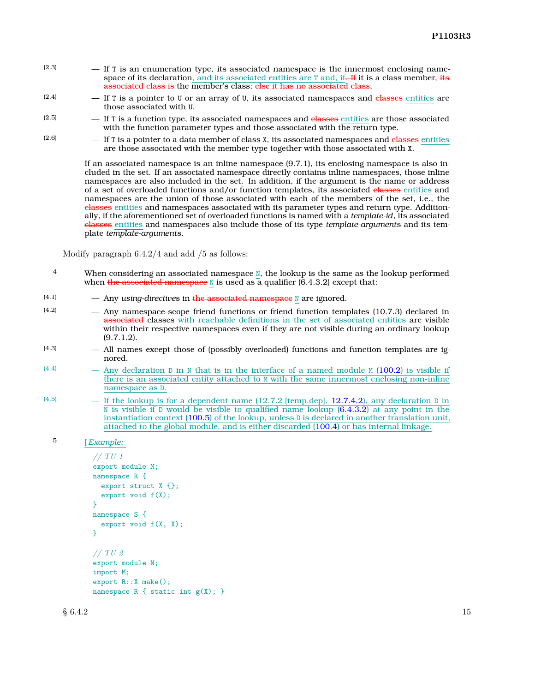- $(2.3)$  If T is an enumeration type, its associated namespace is the innermost enclosing namespace of its declaration, and its associated entities are  $T$  and, if. If it is a class member, its associated class is the member's class; else it has no associated class.
- $(2.4)$  If T is a pointer to U or an array of U, its associated namespaces and classes entities are those associated with U.
- $(2.5)$  If T is a function type, its associated namespaces and elasses entities are those associated with the function parameter types and those associated with the return type.
- $(2.6)$  If T is a pointer to a data member of class X, its associated namespaces and classes entities are those associated with the member type together with those associated with X.

If an associated namespace is an inline namespace (9.7.1), its enclosing namespace is also included in the set. If an associated namespace directly contains inline namespaces, those inline namespaces are also included in the set. In addition, if the argument is the name or address of a set of overloaded functions and/or function templates, its associated classes entities and namespaces are the union of those associated with each of the members of the set, i.e., the classes entities and namespaces associated with its parameter types and return type. Additionally, if the aforementioned set of overloaded functions is named with a *template-id*, its associated classes entities and namespaces also include those of its type *template-argument*s and its template *template-argument*s.

Modify paragraph 6.4.2/4 and add /5 as follows:

- <sup>4</sup> When considering an associated namespace N, the lookup is the same as the lookup performed when the associated namespace  $\mathbb N$  is used as a qualifier (6.4.3.2) except that:
- (4.1) Any *using-directive*s in the associated namespace N are ignored.
- (4.2) Any namespace-scope friend functions or friend function templates (10.7.3) declared in associated classes with reachable definitions in the set of associated entities are visible within their respective namespaces even if they are not visible during an ordinary lookup (9.7.1.2).
- (4.3) All names except those of (possibly overloaded) functions and function templates are ignored.
- $(4.4)$  Any declaration D in N that is in the interface of a named module M [\(100.2\)](#page-24-0) is visible if there is an associated entity attached to M with the same innermost enclosing non-inline namespace as D.
- $(4.5)$  If the lookup is for a dependent name (12.7.2 [temp.dep], 12.7.4.2], any declaration D in N is visible if D would be visible to qualified name lookup  $(6.4.3.2)$  at any point in the instantiation context [\(100.5\)](#page-30-0) of the lookup, unless D is declared in another translation unit, attached to the global module, and is either discarded [\(100.4\)](#page-28-0) or has internal linkage.

```
// TU 1
export module M;
namespace R {
  export struct X {};
  export void f(X);
}
namespace S {
  export void f(X, X);
}
// TU 2
export module N;
import M;
export R::X make();
namespace R \{ static int g(X); \}
```
<sup>5</sup> [*Example:*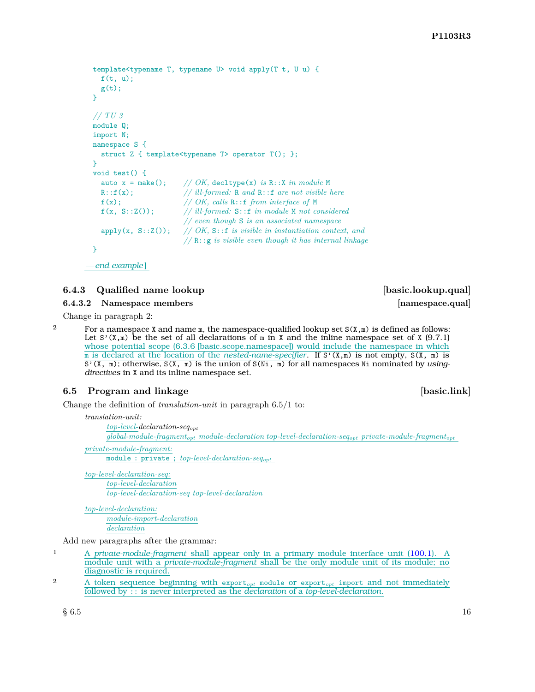```
template<typename T, typename U> void apply(T t, U u) {
  f(t, u):
  g(t);
}
// TU 3
module Q;
import N;
namespace S {
  struct Z { template<typename T> operator T(); };
}
void test() {<br>auto x = make();
                       // OK, decltype(x) is R::X in module M
  R::f(x); // ill-formed: R and R::f are not visible here
  f(x); // OK, calls R::f from interface of M
  f(x, S::Z()); // ill-formed: S::f in module M not considered
                       // even though S is an associated namespace
  \text{apply}(x, S::Z()); // OK, S:: f is visible in instantiation context, and
                       // R::g is visible even though it has internal linkage
}
— end example ]
```
### **6.4.3** Qualified name lookup **basic.lookup.qual**

<span id="page-17-1"></span>**6.4.3.2 Namespace members [namespace.qual]**

Change in paragraph 2:

<sup>2</sup> For a namespace X and name m, the namespace-qualified lookup set  $S(X,m)$  is defined as follows: Let  $S'(X,\mathbb{m})$  be the set of all declarations of  $\mathbb{m}$  in X and the inline namespace set of X (9.7.1) whose potential scope (6.3.6 [basic.scope.namespace]) would include the namespace in which m is declared at the location of the *nested-name-specifier*. If S'(X,m) is not empty, S(X, m) is S'(X, m); otherwise, S(X, m) is the union of S(Ni, m) for all namespaces Ni nominated by *usingdirectives* in X and its inline namespace set.

### <span id="page-17-0"></span>**6.5 Program and linkage [basic.link]**

Change the definition of *translation-unit* in paragraph 6.5/1 to:

*translation-unit:*

*top-level-declaration-seqopt*

*global-module-fragmentopt module-declaration top-level-declaration-seqopt private-module-fragmentopt*

*private-module-fragment:* module : private ; *top-level-declaration-seqopt*

*top-level-declaration-seq: top-level-declaration top-level-declaration-seq top-level-declaration*

*top-level-declaration: module-import-declaration declaration*

Add new paragraphs after the grammar:

- 1 A *private-module-fragment* shall appear only in a primary module interface unit [\(100.1\)](#page-22-1). A module unit with a *private-module-fragment* shall be the only module unit of its module; no diagnostic is required.
- <sup>2</sup> A token sequence beginning with export*opt* module or export*opt* import and not immediately followed by :: is never interpreted as the *declaration* of a *top-level-declaration*.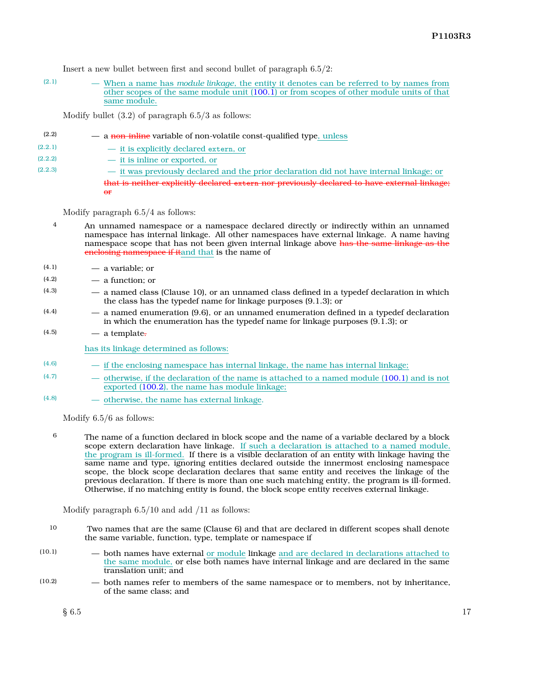Insert a new bullet between first and second bullet of paragraph 6.5/2:

(2.1) — When a name has *module linkage*, the entity it denotes can be referred to by names from other scopes of the same module unit [\(100.1\)](#page-22-1) or from scopes of other module units of that same module.

Modify bullet (3.2) of paragraph 6.5/3 as follows:

 $(2.2)$   $\qquad -$  a non-inline variable of non-volatile const-qualified type, unless (2.2.1) — it is explicitly declared extern, or (2.2.2) — it is inline or exported, or  $(2.2.3)$   $\qquad$  it was previously declared and the prior declaration did not have internal linkage; or that is neither explicitly declared extern nor previously declared to have external linkage;  $\theta$ <sup>r</sup>

Modify paragraph 6.5/4 as follows:

- 4 An unnamed namespace or a namespace declared directly or indirectly within an unnamed namespace has internal linkage. All other namespaces have external linkage. A name having namespace scope that has not been given internal linkage above has the same linkage as the enclosing namespace if itand that is the name of
- $(4.1)$  a variable; or
- $(4.2)$   $\qquad$   $\qquad$  a function; or
- (4.3) a named class (Clause 10), or an unnamed class defined in a typedef declaration in which the class has the typedef name for linkage purposes (9.1.3); or
- $(4.4)$  a named enumeration  $(9.6)$ , or an unnamed enumeration defined in a typedef declaration in which the enumeration has the typedef name for linkage purposes (9.1.3); or
- $(4.5)$   $\qquad$   $\qquad$  a template.

has its linkage determined as follows:

- $(4.6)$  if the enclosing namespace has internal linkage, the name has internal linkage;
- $(4.7)$  otherwise, if the declaration of the name is attached to a named module [\(100.1\)](#page-22-1) and is not exported [\(100.2\)](#page-24-0), the name has module linkage;
- (4.8) otherwise, the name has external linkage.

Modify 6.5/6 as follows:

 $6$  The name of a function declared in block scope and the name of a variable declared by a block scope extern declaration have linkage. If such a declaration is attached to a named module, the program is ill-formed. If there is a visible declaration of an entity with linkage having the same name and type, ignoring entities declared outside the innermost enclosing namespace scope, the block scope declaration declares that same entity and receives the linkage of the previous declaration. If there is more than one such matching entity, the program is ill-formed. Otherwise, if no matching entity is found, the block scope entity receives external linkage.

Modify paragraph 6.5/10 and add /11 as follows:

- 10 Two names that are the same (Clause 6) and that are declared in different scopes shall denote the same variable, function, type, template or namespace if
- (10.1) both names have external or module linkage and are declared in declarations attached to the same module, or else both names have internal linkage and are declared in the same translation unit; and
- (10.2) both names refer to members of the same namespace or to members, not by inheritance, of the same class; and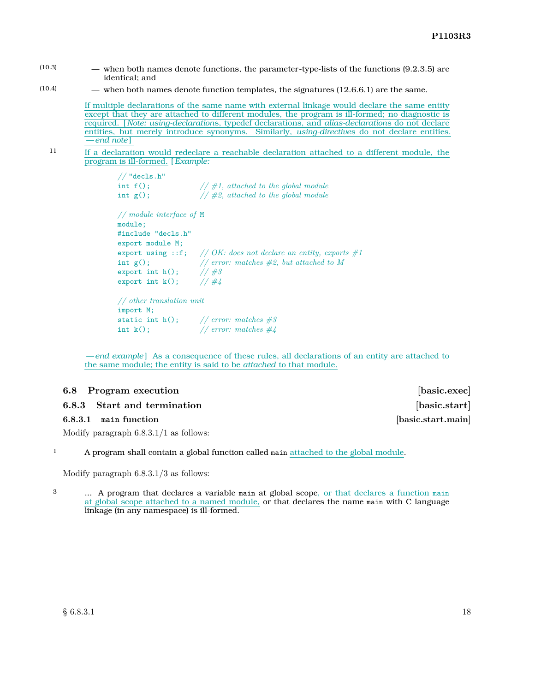(10.3) — when both names denote functions, the parameter-type-lists of the functions (9.2.3.5) are identical; and

 $(10.4)$  — when both names denote function templates, the signatures  $(12.6.6.1)$  are the same.

If multiple declarations of the same name with external linkage would declare the same entity except that they are attached to different modules, the program is ill-formed; no diagnostic is required. [ *Note: using-declaration*s, typedef declarations, and *alias-declaration*s do not declare entities, but merely introduce synonyms. Similarly, *using-directive*s do not declare entities. *— end note* ]

11 If a declaration would redeclare a reachable declaration attached to a different module, the program is ill-formed. [*Example:*

```
// "decls.h"
int f(); // #1, attached to the global module
int g(); // #2, attached to the global module
// module interface of M
module;
#include "decls.h"
export module M;
export using ::f; // OK: does not declare an entity, exports #1
int g(); // error: matches #2, but attached to M<br>export int h(); // #3<br>export int k(); // #4export int h();
export int k();
// other translation unit
import M;
static int h(); // error: matches #3
int k(); // error: matches #4
```
*— end example* ] As a consequence of these rules, all declarations of an entity are attached to the same module; the entity is said to be *attached* to that module.

#### <span id="page-19-0"></span>**6.8 Program execution** *basic.exec] basic.exec]*

#### **6.8.3** Start and termination *basic.start*

**6.8.3.1 main function [basic.start.main]**

Modify paragraph 6.8.3.1/1 as follows:

<sup>1</sup> A program shall contain a global function called main attached to the global module.

Modify paragraph 6.8.3.1/3 as follows:

<sup>3</sup> ... A program that declares a variable main at global scope, or that declares a function main at global scope attached to a named module, or that declares the name main with C language linkage (in any namespace) is ill-formed.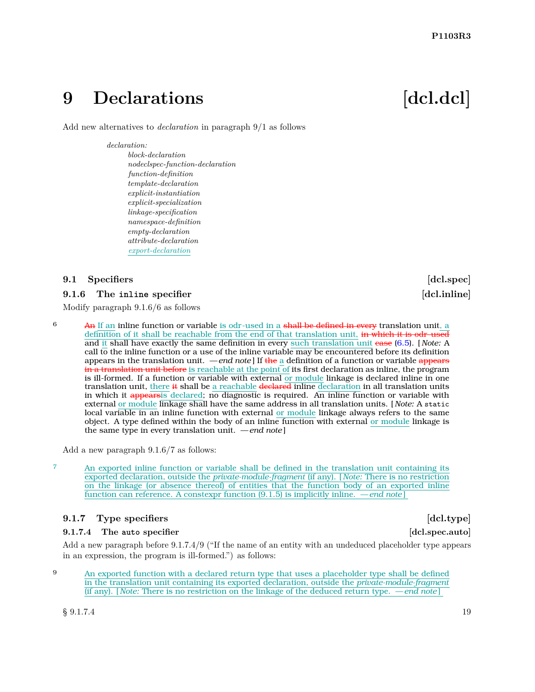## <span id="page-20-0"></span>**9** Declarations [dcl.dcl]

Add new alternatives to *declaration* in paragraph 9/1 as follows

#### *declaration:*

*block-declaration nodeclspec-function-declaration function-definition template-declaration explicit-instantiation explicit-specialization linkage-specification namespace-definition empty-declaration attribute-declaration export-declaration*

### <span id="page-20-1"></span>**9.1 Specifiers [dcl.spec]**

### **9.1.6** The inline specifier **and the specifier contract the specifier**  $\left[$  dcl.inline

Modify paragraph 9.1.6/6 as follows

 $6$  An If an inline function or variable is odr-used in a shall be defined in every translation unit, a definition of it shall be reachable from the end of that translation unit, in which it is odr-used and it shall have exactly the same definition in every such translation unit case [\(6.5\)](#page-17-0). [ *Note:* A call to the inline function or a use of the inline variable may be encountered before its definition appears in the translation unit. *— end note* ] If the a definition of a function or variable appears in a translation unit before is reachable at the point of its first declaration as inline, the program is ill-formed. If a function or variable with external or module linkage is declared inline in one translation unit, there it shall be a reachable declared inline declaration in all translation units in which it appearsis declared; no diagnostic is required. An inline function or variable with external or module linkage shall have the same address in all translation units. [ *Note:* A static local variable in an inline function with external or module linkage always refers to the same object. A type defined within the body of an inline function with external or module linkage is the same type in every translation unit. *— end note* ]

Add a new paragraph 9.1.6/7 as follows:

<sup>7</sup> An exported inline function or variable shall be defined in the translation unit containing its exported declaration, outside the *private-module-fragment* (if any). [ *Note:* There is no restriction on the linkage (or absence thereof) of entities that the function body of an exported inline function can reference. A constexpr function (9.1.5) is implicitly inline. *— end note* ]

### **9.1.7** Type specifiers **and a contract in the specifiers contract in the specifiers contract in the specifiers**

#### **9.1.7.4 The auto specifier [dcl.spec.auto]**

Add a new paragraph before 9.1.7.4/9 ("If the name of an entity with an undeduced placeholder type appears in an expression, the program is ill-formed.") as follows:

9 An exported function with a declared return type that uses a placeholder type shall be defined in the translation unit containing its exported declaration, outside the *private-module-fragment* (if any). [ *Note:* There is no restriction on the linkage of the deduced return type. *— end note* ]

 $\S~9.1.7.4$  19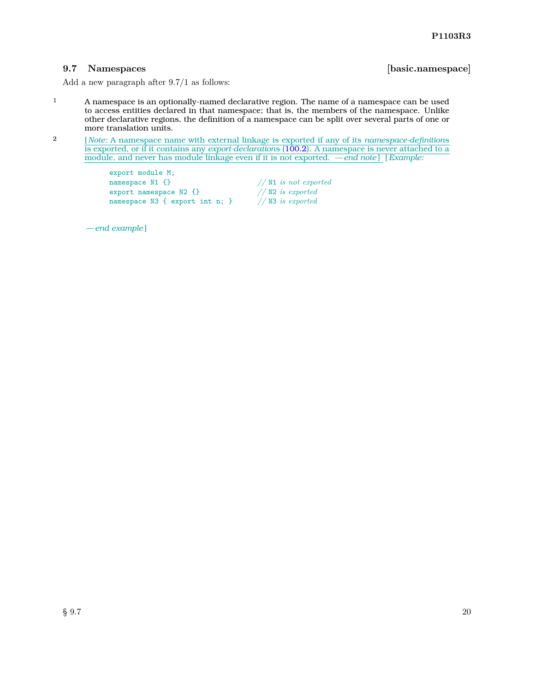#### <span id="page-21-0"></span>**9.7 Namespaces [basic.namespace]**

Add a new paragraph after 9.7/1 as follows:

- <sup>1</sup> A namespace is an optionally-named declarative region. The name of a namespace can be used to access entities declared in that namespace; that is, the members of the namespace. Unlike other declarative regions, the definition of a namespace can be split over several parts of one or more translation units.
- 2 [ *Note:* A namespace name with external linkage is exported if any of its *namespace-definition*s is exported, or if it contains any *export-declaration*s [\(100.2\)](#page-24-0). A namespace is never attached to a module, and never has module linkage even if it is not exported.  $\frac{1}{\sqrt{1 - \frac{1}{n}}}\$  [*Example:*

export module M; namespace N1 {}<br>
export namespace N2 {}<br>
// N2 *is exported*<br>
// N2 *is exported* export namespace N2 {}<br>
namespace N3 { export int n; } // N3 *is exported* namespace N3 { export int n; }

*— end example* ]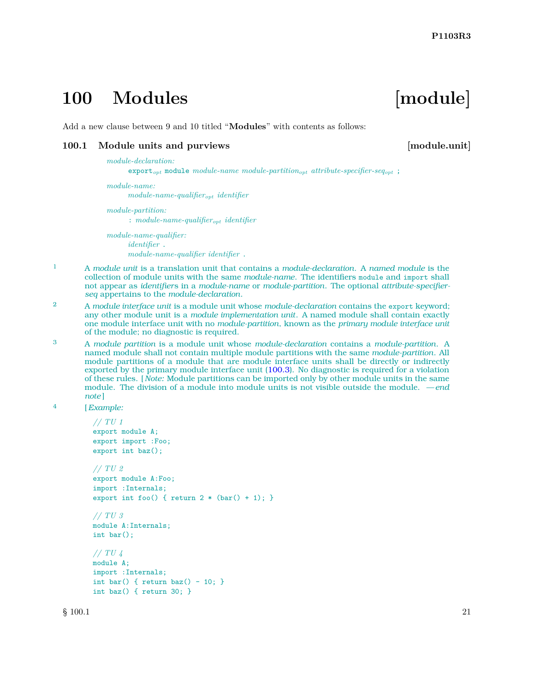## <span id="page-22-0"></span>**100 Modules [module]**

Add a new clause between 9 and 10 titled "**Modules**" with contents as follows:

#### <span id="page-22-1"></span>**100.1** Module units and purviews **and incremental intervals** [module.unit]

#### *module-declaration:*

export*opt* module *module-name module-partitionopt attribute-specifier-seqopt* ;

*module-name: module-name-qualifieropt identifier*

*module-partition:* : *module-name-qualifieropt identifier*

*module-name-qualifier: identifier* . *module-name-qualifier identifier* .

- 1 A *module unit* is a translation unit that contains a *module-declaration*. A *named module* is the collection of module units with the same *module-name*. The identifiers module and import shall not appear as *identifier*s in a *module-name* or *module-partition*. The optional *attribute-specifierseq* appertains to the *module-declaration*.
- <sup>2</sup> A *module interface unit* is a module unit whose *module-declaration* contains the export keyword; any other module unit is a *module implementation unit*. A named module shall contain exactly one module interface unit with no *module-partition*, known as the *primary module interface unit* of the module; no diagnostic is required.
- 3 A *module partition* is a module unit whose *module-declaration* contains a *module-partition*. A named module shall not contain multiple module partitions with the same *module-partition*. All module partitions of a module that are module interface units shall be directly or indirectly exported by the primary module interface unit [\(100.3\)](#page-27-0). No diagnostic is required for a violation of these rules. [ *Note:* Module partitions can be imported only by other module units in the same module. The division of a module into module units is not visible outside the module. *— end note* ]

```
4 [Example:
```

```
// TU 1
export module A;
export import :Foo;
export int baz();
// TU 2
export module A:Foo;
import :Internals;
export int foo() { return 2 * (bar() + 1); }
// TU 3
module A:Internals;
int bar();
// TU 4
module A;
import :Internals;
int bar() { return baz() - 10; }
int baz() { return 30; }
```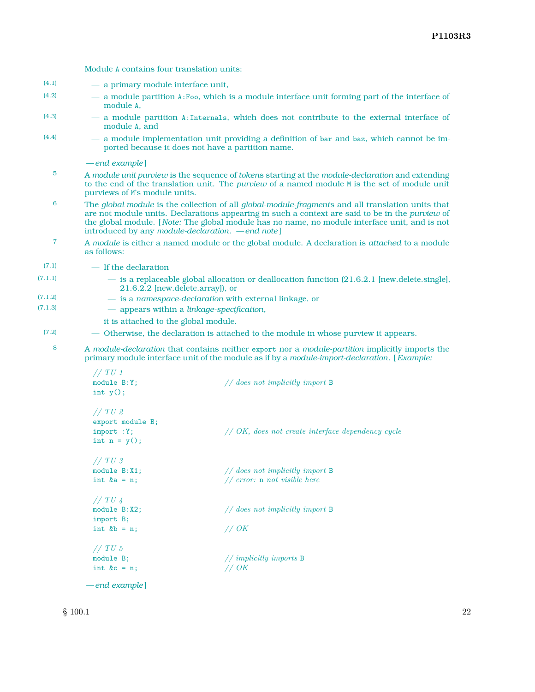| (4.1)          | - a primary module interface unit,                                                                                                                                                                                                                                                                                                                               |                                                                                                                                                                                                |  |  |
|----------------|------------------------------------------------------------------------------------------------------------------------------------------------------------------------------------------------------------------------------------------------------------------------------------------------------------------------------------------------------------------|------------------------------------------------------------------------------------------------------------------------------------------------------------------------------------------------|--|--|
| (4.2)          | - a module partition A:Foo, which is a module interface unit forming part of the interface of<br>module A,                                                                                                                                                                                                                                                       |                                                                                                                                                                                                |  |  |
| (4.3)          | - a module partition A: Internals, which does not contribute to the external interface of<br>module A, and                                                                                                                                                                                                                                                       |                                                                                                                                                                                                |  |  |
| (4.4)          |                                                                                                                                                                                                                                                                                                                                                                  | - a module implementation unit providing a definition of bar and baz, which cannot be im-<br>ported because it does not have a partition name.                                                 |  |  |
|                | -end example                                                                                                                                                                                                                                                                                                                                                     |                                                                                                                                                                                                |  |  |
| 5              | A module unit purview is the sequence of tokens starting at the module-declaration and extending<br>to the end of the translation unit. The <i>purview</i> of a named module M is the set of module unit<br>purviews of M's module units.                                                                                                                        |                                                                                                                                                                                                |  |  |
| 6              | The global module is the collection of all global-module-fragments and all translation units that<br>are not module units. Declarations appearing in such a context are said to be in the <i>purview</i> of<br>the global module. [Note: The global module has no name, no module interface unit, and is not<br>introduced by any module-declaration. —end note] |                                                                                                                                                                                                |  |  |
| $\overline{7}$ | A module is either a named module or the global module. A declaration is attached to a module<br>as follows:                                                                                                                                                                                                                                                     |                                                                                                                                                                                                |  |  |
| (7.1)          | - If the declaration                                                                                                                                                                                                                                                                                                                                             |                                                                                                                                                                                                |  |  |
| (7.1.1)        | - is a replaceable global allocation or deallocation function (21.6.2.1 [new.delete.single],<br>21.6.2.2 [new.delete.array]), or                                                                                                                                                                                                                                 |                                                                                                                                                                                                |  |  |
| (7.1.2)        |                                                                                                                                                                                                                                                                                                                                                                  | - is a namespace-declaration with external linkage, or                                                                                                                                         |  |  |
| (7.1.3)        | - appears within a linkage-specification,                                                                                                                                                                                                                                                                                                                        |                                                                                                                                                                                                |  |  |
|                | it is attached to the global module.                                                                                                                                                                                                                                                                                                                             |                                                                                                                                                                                                |  |  |
| (7.2)          |                                                                                                                                                                                                                                                                                                                                                                  | — Otherwise, the declaration is attached to the module in whose purview it appears.                                                                                                            |  |  |
| 8              |                                                                                                                                                                                                                                                                                                                                                                  | A module-declaration that contains neither export nor a module-partition implicitly imports the<br>primary module interface unit of the module as if by a module-import-declaration. [Example: |  |  |
|                | // TU1                                                                                                                                                                                                                                                                                                                                                           |                                                                                                                                                                                                |  |  |
|                | module B:Y;                                                                                                                                                                                                                                                                                                                                                      | $//$ does not implicitly import B                                                                                                                                                              |  |  |
|                | int $y()$ ;                                                                                                                                                                                                                                                                                                                                                      |                                                                                                                                                                                                |  |  |
|                | //TU2                                                                                                                                                                                                                                                                                                                                                            |                                                                                                                                                                                                |  |  |
|                | export module B;                                                                                                                                                                                                                                                                                                                                                 |                                                                                                                                                                                                |  |  |
|                | import : Y;                                                                                                                                                                                                                                                                                                                                                      | $// OK, does not create interface dependency cycle$                                                                                                                                            |  |  |
|                | int $n = y()$ ;                                                                                                                                                                                                                                                                                                                                                  |                                                                                                                                                                                                |  |  |
|                | // TV 3                                                                                                                                                                                                                                                                                                                                                          |                                                                                                                                                                                                |  |  |
|                | module B:X1;                                                                                                                                                                                                                                                                                                                                                     | $//$ does not implicitly import B                                                                                                                                                              |  |  |

int &a = n; *// error:* n *not visible here*

module B;<br>  $\frac{1}{\text{index } \mathbb{R}}$  int &c = n;<br>  $\frac{1}{\text{index } \mathbb{R}}$  // OK

int &b = n; *// OK*

module B:X2; *// does not implicitly import* B

Module A contains four translation units:

*// TU 4*

import B;

*// TU 5*

int  $&c = n;$ 

*— end example* ]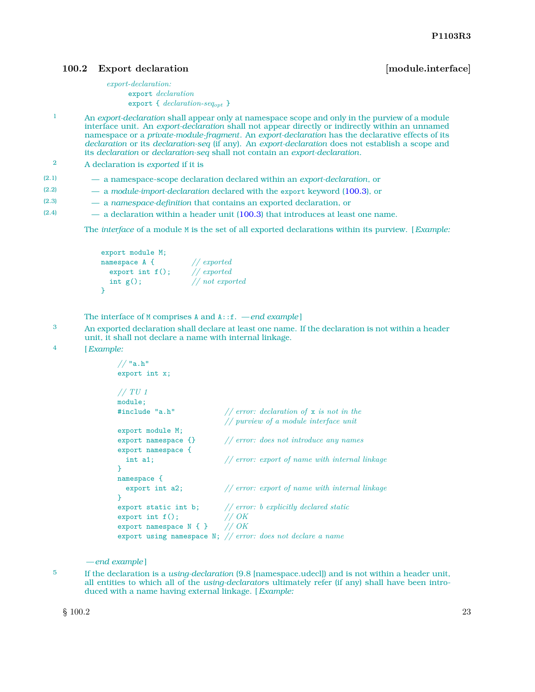#### <span id="page-24-0"></span>**100.2** Export declaration **by the contract of the contract of the contract of the contract of the contract of the contract of the contract of the contract of the contract of the contract of the contract of the contract of**

*export-declaration:* export *declaration* export { *declaration-seqopt* }

- 1 An *export-declaration* shall appear only at namespace scope and only in the purview of a module interface unit. An *export-declaration* shall not appear directly or indirectly within an unnamed namespace or a *private-module-fragment*. An *export-declaration* has the declarative effects of its *declaration* or its *declaration-seq* (if any). An *export-declaration* does not establish a scope and its *declaration* or *declaration-seq* shall not contain an *export-declaration*.
- 2 A declaration is *exported* if it is
- (2.1) a namespace-scope declaration declared within an *export-declaration*, or
- (2.2) a *module-import-declaration* declared with the export keyword [\(100.3\)](#page-27-0), or
- (2.3) a *namespace-definition* that contains an exported declaration, or
- $(2.4)$  a declaration within a header unit [\(100.3\)](#page-27-0) that introduces at least one name.

The *interface* of a module M is the set of all exported declarations within its purview. [*Example:*

```
export module M;
namespace A { // exported<br>export int f(); // exported
  export int f();
  int g(); // not exported
}
```
The interface of M comprises A and A::f. *— end example* ]

- 3 An exported declaration shall declare at least one name. If the declaration is not within a header unit, it shall not declare a name with internal linkage.
- 4 [*Example:*

```
// "a.h"
export int x;
// TU 1
module;
#include "a.h" // error: declaration of x is not in the
                             // purview of a module interface unit
export module M;
export namespace {} // error: does not introduce any names
export namespace {
  int a1; // error: export of name with internal linkage
}
namespace {
  export int a2; // error: export of name with internal linkage
}
export static int b; // error: b explicitly declared static export int f(); // OK
export int f(); <br> \frac{7}{8} // OK<br>export namespace N { } // OK
export namespace N { }
export using namespace N; // error: does not declare a name
```
*— end example* ]

5 If the declaration is a *using-declaration* (9.8 [namespace.udecl]) and is not within a header unit, all entities to which all of the *using-declarator*s ultimately refer (if any) shall have been introduced with a name having external linkage. [*Example:*

 $\S 100.2$  23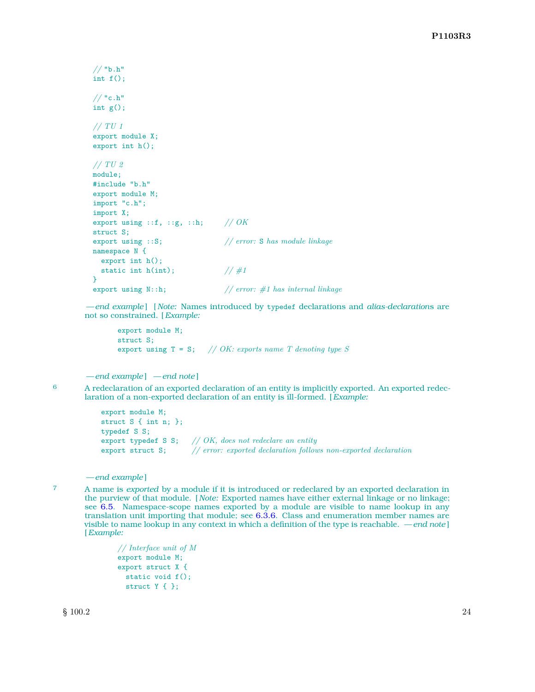```
// "b.h"
int f();
// "c.h"
int g();
// TU 1
export module X;
export int h();
// TU 2
module;
#include "b.h"
export module M;
import "c.h";
import X;
export using ::f, ::g, ::h; // OK
struct S;
export using ::S; // error: S has module linkage
namespace N {
 export int h();
 static int h(int); \frac{1}{4}}
export using N::h; // error: #1 has internal linkage
```
*— end example* ] [ *Note:* Names introduced by typedef declarations and *alias-declaration*s are not so constrained. [*Example:*

export module M; struct S; export using T = S; *// OK: exports name T denoting type S*

*— end example* ] *— end note* ]

6 A redeclaration of an exported declaration of an entity is implicitly exported. An exported redeclaration of a non-exported declaration of an entity is ill-formed. [*Example:*

```
export module M;
struct S { int n; };
typedef S S;
export typedef S S; // OK, does not redeclare an entity
export struct S; // error: exported declaration follows non-exported declaration
```
*— end example* ]

7 A name is *exported* by a module if it is introduced or redeclared by an exported declaration in the purview of that module. [ *Note:* Exported names have either external linkage or no linkage; see [6.5.](#page-17-0) Namespace-scope names exported by a module are visible to name lookup in any translation unit importing that module; see [6.3.6.](#page-14-4) Class and enumeration member names are visible to name lookup in any context in which a definition of the type is reachable. *— end note* ] [*Example:*

> *// Interface unit of M* export module M; export struct X { static void f(); struct Y { };

 $\frac{1}{2}$  100.2 24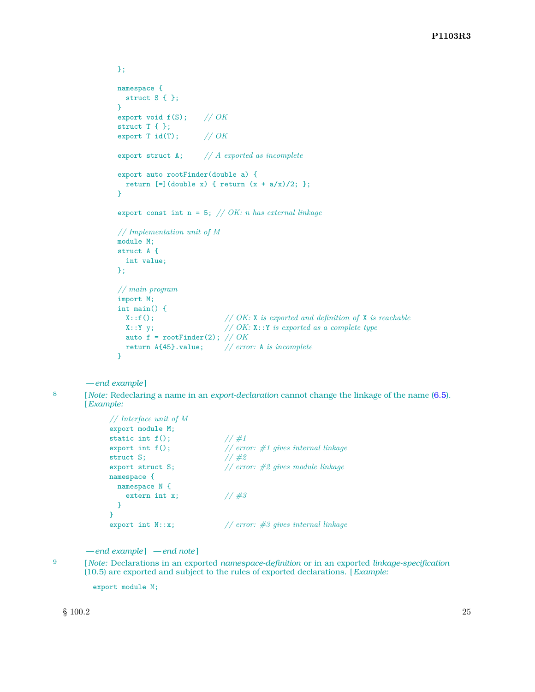```
};
namespace {
  struct S { };
}
export void f(S); // OK
struct T { };
export T id(T); // OK
export struct A; // A exported as incomplete
export auto rootFinder(double a) {
  return [=\] (double x) { return (x + a/x)/2; };
}
export const int n = 5; // OK: n has external linkage
// Implementation unit of M
module M;
struct A {
  int value;
};
// main program
import M;
int main() {
 X::f(); <br>// OK: X is exported and definition of X is reachable<br>X::Y y; <br>// OK: X::Y is exported as a complete type
                           // OK: X::Y is exported as a complete type
  auto f = rootFinder(2); // OK
  return A{45}.value; // error: A is incomplete
}
```
*— end example* ]

8 [ *Note:* Redeclaring a name in an *export-declaration* cannot change the linkage of the name [\(6.5\)](#page-17-0).

[*Example:*

```
// Interface unit of M
export module M;
static int f(); // #1
export int f(); <br>
\frac{1}{\#2} for \frac{1}{\#2} // \frac{1}{\#2}struct S; // #2
export struct S; // error: #2 gives module linkage
namespace {
 namespace N {
   extern int x; // #3
 }
}
export int N::x; // error: #3 gives internal linkage
```
*— end example* ] *— end note* ]

- 
- 
- 9 [ *Note:* Declarations in an exported *namespace-definition* or in an exported *linkage-specification* (10.5) are exported and subject to the rules of exported declarations. [*Example:*

export module M;

 $\S$  100.2 25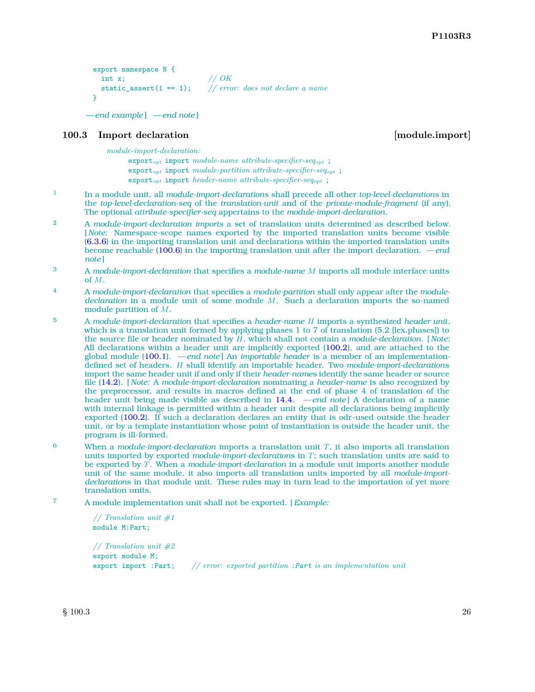```
export namespace N {
 int x; // OK
 static_assert(1 == 1); // error: does not declare a name
}
```

```
— end example ] — end note ]
```
#### <span id="page-27-0"></span>**100.3** Import declaration **in the set of the set of the set of the set of the set of the set of the set of the set of the set of the set of the set of the set of the set of the set of the set of the set of the set of the**

*module-import-declaration:*

export*opt* import *module-name attribute-specifier-seqopt* ; export*opt* import *module-partition attribute-specifier-seqopt* ; export*opt* import *header-name attribute-specifier-seqopt* ;

- 1 In a module unit, all *module-import-declaration*s shall precede all other *top-level-declaration*s in the *top-level-declaration-seq* of the *translation-unit* and of the *private-module-fragment* (if any). The optional *attribute-specifier-seq* appertains to the *module-import-declaration*.
- 2 A *module-import-declaration imports* a set of translation units determined as described below. [ *Note:* Namespace-scope names exported by the imported translation units become visible [\(6.3.6\)](#page-14-4) in the importing translation unit and declarations within the imported translation units become reachable [\(100.6\)](#page-32-0) in the importing translation unit after the import declaration. *— end note* ]
- 3 A *module-import-declaration* that specifies a *module-name M* imports all module interface units of *M*.
- 4 A *module-import-declaration* that specifies a *module-partition* shall only appear after the *moduledeclaration* in a module unit of some module *M*. Such a declaration imports the so-named module partition of *M*.
- 5 A *module-import-declaration* that specifies a *header-name H* imports a synthesized *header unit*, which is a translation unit formed by applying phases 1 to 7 of translation (5.2 [lex.phases]) to the source file or header nominated by *H*, which shall not contain a *module-declaration*. [ *Note:* All declarations within a header unit are implicitly exported [\(100.2\)](#page-24-0), and are attached to the global module [\(100.1\)](#page-22-1). *— end note* ] An *importable header* is a member of an implementationdefined set of headers. *H* shall identify an importable header. Two *module-import-declaration*s import the same header unit if and only if their *header-name*s identify the same header or source file [\(14.2\)](#page-40-2). [ *Note:* A *module-import-declaration* nominating a *header-name* is also recognized by the preprocessor, and results in macros defined at the end of phase 4 of translation of the header unit being made visible as described in [14.4.](#page-41-0) *— end note* ] A declaration of a name with internal linkage is permitted within a header unit despite all declarations being implicitly exported [\(100.2\)](#page-24-0). If such a declaration declares an entity that is odr-used outside the header unit, or by a template instantiation whose point of instantiation is outside the header unit, the program is ill-formed.
- 6 When a *module-import-declaration* imports a translation unit *T*, it also imports all translation units imported by exported *module-import-declaration*s in *T*; such translation units are said to be exported by *T*. When a *module-import-declaration* in a module unit imports another module unit of the same module, it also imports all translation units imported by all *module-importdeclaration*s in that module unit. These rules may in turn lead to the importation of yet more translation units.
- 7 A module implementation unit shall not be exported. [*Example:*

*// Translation unit #1* module M:Part;

*// Translation unit #2* export module M; export import :Part; *// error: exported partition :Part is an implementation unit*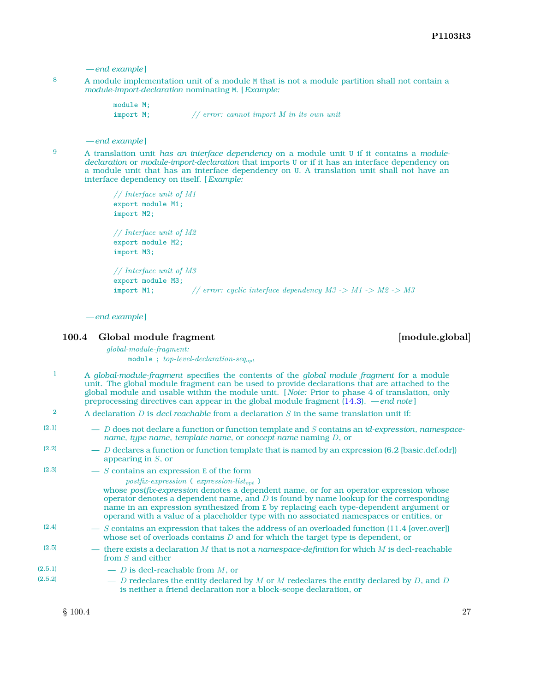```
— end example ]
```
8 A module implementation unit of a module M that is not a module partition shall not contain a *module-import-declaration* nominating M. [*Example:*

> module M; import M; *// error: cannot import M in its own unit*

#### *— end example* ]

<sup>9</sup> A translation unit *has an interface dependency* on a module unit U if it contains a *moduledeclaration* or *module-import-declaration* that imports U or if it has an interface dependency on a module unit that has an interface dependency on U. A translation unit shall not have an interface dependency on itself. [*Example:*

```
// Interface unit of M1
export module M1;
import M2;
// Interface unit of M2
export module M2;
import M3;
// Interface unit of M3
export module M3;
import M1; // error: cyclic interface dependency M3 -> M1 -> M2 -> M3
```
*— end example* ]

#### <span id="page-28-0"></span>**100.4 Global module fragment [module.global]**

*global-module-fragment:* module ; *top-level-declaration-seqopt*

- 1 A *global-module-fragment* specifies the contents of the *global module fragment* for a module unit. The global module fragment can be used to provide declarations that are attached to the global module and usable within the module unit. [ *Note:* Prior to phase 4 of translation, only preprocessing directives can appear in the global module fragment [\(14.3\)](#page-40-3). *— end note* ]
- 2 A declaration *D* is *decl-reachable* from a declaration *S* in the same translation unit if:

| (2.1)   | $-$ D does not declare a function or function template and S contains an id-expression, namespace-<br>name, type-name, template-name, or concept-name naming $D$ , or                                                                                                                                                                                                                                                             |
|---------|-----------------------------------------------------------------------------------------------------------------------------------------------------------------------------------------------------------------------------------------------------------------------------------------------------------------------------------------------------------------------------------------------------------------------------------|
| (2.2)   | $-$ D declares a function or function template that is named by an expression (6.2 [basic.def.odr])<br>appearing in $S$ , or                                                                                                                                                                                                                                                                                                      |
| (2.3)   | $-$ S contains an expression E of the form                                                                                                                                                                                                                                                                                                                                                                                        |
|         | $postfix-expression$ (expression-list <sub>opt</sub> )<br>whose postfix-expression denotes a dependent name, or for an operator expression whose<br>operator denotes a dependent name, and $D$ is found by name lookup for the corresponding<br>name in an expression synthesized from E by replacing each type-dependent argument or<br>operand with a value of a placeholder type with no associated namespaces or entities, or |
| (2.4)   | $\sim$ S contains an expression that takes the address of an overloaded function (11.4 [over.over])<br>whose set of overloads contains $D$ and for which the target type is dependent, or                                                                                                                                                                                                                                         |
| (2.5)   | — there exists a declaration M that is not a namespace-definition for which M is decl-reachable<br>from S and either                                                                                                                                                                                                                                                                                                              |
| (2.5.1) | $-$ D is decl-reachable from M, or                                                                                                                                                                                                                                                                                                                                                                                                |
| (2.5.2) | $-$ D redeclares the entity declared by M or M redeclares the entity declared by D, and D<br>is neither a friend declaration nor a block-scope declaration, or                                                                                                                                                                                                                                                                    |
|         |                                                                                                                                                                                                                                                                                                                                                                                                                                   |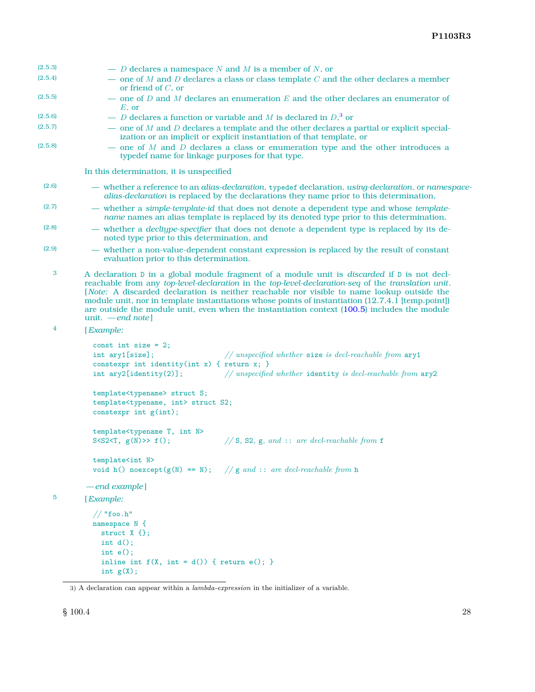| (2.5.3) | $-$ D declares a namespace N and M is a member of N, or                                                                                                                                                                                                                                                                                                                                                                                                                                                                                 |  |  |
|---------|-----------------------------------------------------------------------------------------------------------------------------------------------------------------------------------------------------------------------------------------------------------------------------------------------------------------------------------------------------------------------------------------------------------------------------------------------------------------------------------------------------------------------------------------|--|--|
| (2.5.4) | $-$ one of M and D declares a class or class template C and the other declares a member<br>or friend of $C$ , or                                                                                                                                                                                                                                                                                                                                                                                                                        |  |  |
| (2.5.5) | — one of D and M declares an enumeration E and the other declares an enumerator of<br>$E$ , or                                                                                                                                                                                                                                                                                                                                                                                                                                          |  |  |
| (2.5.6) | - <i>D</i> declares a function or variable and <i>M</i> is declared in $D$ , <sup>3</sup> or                                                                                                                                                                                                                                                                                                                                                                                                                                            |  |  |
| (2.5.7) | — one of $M$ and $D$ declares a template and the other declares a partial or explicit special-<br>ization or an implicit or explicit instantiation of that template, or                                                                                                                                                                                                                                                                                                                                                                 |  |  |
| (2.5.8) | — one of $M$ and $D$ declares a class or enumeration type and the other introduces a<br>typedef name for linkage purposes for that type.                                                                                                                                                                                                                                                                                                                                                                                                |  |  |
|         | In this determination, it is unspecified                                                                                                                                                                                                                                                                                                                                                                                                                                                                                                |  |  |
| (2.6)   | - whether a reference to an alias-declaration, typedef declaration, using-declaration, or namespace-<br>alias-declaration is replaced by the declarations they name prior to this determination,                                                                                                                                                                                                                                                                                                                                        |  |  |
| (2.7)   | - whether a simple-template-id that does not denote a dependent type and whose template-<br>name names an alias template is replaced by its denoted type prior to this determination,                                                                                                                                                                                                                                                                                                                                                   |  |  |
| (2.8)   | - whether a <i>decltype-specifier</i> that does not denote a dependent type is replaced by its de-<br>noted type prior to this determination, and                                                                                                                                                                                                                                                                                                                                                                                       |  |  |
| (2.9)   | — whether a non-value-dependent constant expression is replaced by the result of constant<br>evaluation prior to this determination.                                                                                                                                                                                                                                                                                                                                                                                                    |  |  |
| 3       | A declaration D in a global module fragment of a module unit is <i>discarded</i> if D is not decl-<br>reachable from any top-level-declaration in the top-level-declaration-seq of the translation unit.<br>[Note: A discarded declaration is neither reachable nor visible to name lookup outside the<br>module unit, nor in template instantiations whose points of instantiation (12.7.4.1 [temp.point])<br>are outside the module unit, even when the instantiation context (100.5) includes the module<br>unit. $-\text{end note}$ |  |  |
| 4       | [Example:                                                                                                                                                                                                                                                                                                                                                                                                                                                                                                                               |  |  |
|         | const int size = $2$ ;<br>int ary1[size];<br>// unspecified whether size is decl-reachable from $\arg 1$<br>constexpr int identity(int x) { return x; }<br>int $\arg 2$ [identity(2)];<br>// unspecified whether identity is decl-reachable from ary2                                                                                                                                                                                                                                                                                   |  |  |
|         | template <typename> struct S;<br/>template<typename, int=""> struct S2;<br/>constexpr int <math>g(int)</math>;</typename,></typename>                                                                                                                                                                                                                                                                                                                                                                                                   |  |  |
|         | template <typename int="" n="" t,=""><br/>S<s2<t, <math="">g(N)&gt;&gt; <math>f()</math>;<br/>// S, S2, g, and :: are decl-reachable from f</s2<t,></typename>                                                                                                                                                                                                                                                                                                                                                                          |  |  |
|         | template <int n=""><br/>void h() noexcept(<math>g(N) == N</math>); //g and :: are decl-reachable from h</int>                                                                                                                                                                                                                                                                                                                                                                                                                           |  |  |
|         | -end example]                                                                                                                                                                                                                                                                                                                                                                                                                                                                                                                           |  |  |
| 5       | [Example:                                                                                                                                                                                                                                                                                                                                                                                                                                                                                                                               |  |  |
|         | $//$ "foo.h"<br>namespace N {<br>struct $X \{ \}$ ;<br>int $d()$ ;<br>$int e()$ ;<br>inline int $f(X, int = d())$ { return $e()$ ; }<br>int $g(X)$ ;                                                                                                                                                                                                                                                                                                                                                                                    |  |  |

<span id="page-29-0"></span><sup>3)</sup> A declaration can appear within a *lambda-expression* in the initializer of a variable.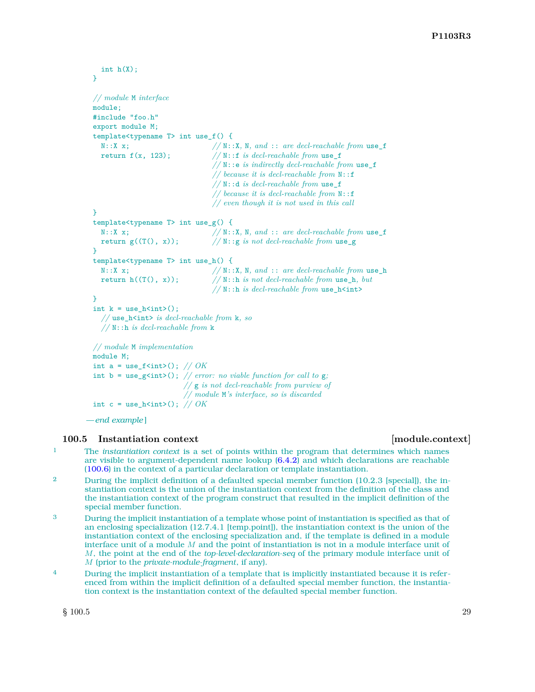```
int h(X);
}
// module M interface
module;
#include "foo.h"
export module M;
template<typename T> int use_f() {
  N::X x; // N::X, N, and :: are decl-reachable from use_f
  return f(x, 123); // N:: f is decl-reachable from use f// N::e is indirectly decl-reachable from use_f
                                 // because it is decl-reachable from N::f
                                 // N::d is decl-reachable from use_f
                                 // because it is decl-reachable from N::f
                                 // even though it is not used in this call
}
template<typename T> int use_g() {
 N::X x; // N::X, N, and :: are decl-reachable from use_f
  return g((T(), x)); // N::g is not decl-reachable from use_g
}
template<typename T> int use_h() {
  N::X x; //N::X, N, and :: are decl-reachable from use_h<br>return h((T(), x)); //N::h is not decl-reachable from use_h, but
                                 // N::h is not decl-reachable from use_h, but
                                 // N::h is decl-reachable from use_h<int>
}
int k = use_h<math>\infty</math>;
  // use_h<int> is decl-reachable from k, so
  // N::h is decl-reachable from k
// module M implementation
module M;
int a = use_f <int>(); // OKint b = use_g<int>(); // error: no viable function for call to g;
                         // g is not decl-reachable from purview of
                         // module M's interface, so is discarded
int c = \text{use_h}\text{sin}(\cdot); // OK
```
*— end example* ]

#### <span id="page-30-0"></span>**100.5 Instantiation context [module.context]**

- 1 The *instantiation context* is a set of points within the program that determines which names are visible to argument-dependent name lookup [\(6.4.2\)](#page-15-1) and which declarations are reachable [\(100.6\)](#page-32-0) in the context of a particular declaration or template instantiation.
- <sup>2</sup> During the implicit definition of a defaulted special member function (10.2.3 [special]), the instantiation context is the union of the instantiation context from the definition of the class and the instantiation context of the program construct that resulted in the implicit definition of the special member function.
- 3 During the implicit instantiation of a template whose point of instantiation is specified as that of an enclosing specialization (12.7.4.1 [temp.point]), the instantiation context is the union of the instantiation context of the enclosing specialization and, if the template is defined in a module interface unit of a module *M* and the point of instantiation is not in a module interface unit of *M*, the point at the end of the *top-level-declaration-seq* of the primary module interface unit of *M* (prior to the *private-module-fragment*, if any).
- <sup>4</sup> During the implicit instantiation of a template that is implicitly instantiated because it is referenced from within the implicit definition of a defaulted special member function, the instantiation context is the instantiation context of the defaulted special member function.

 $\S$  100.5 29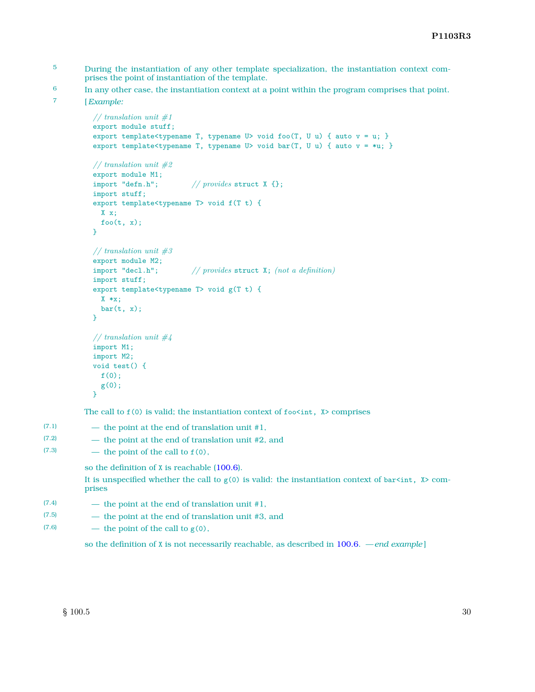- 5 During the instantiation of any other template specialization, the instantiation context comprises the point of instantiation of the template.
- <sup>6</sup> In any other case, the instantiation context at a point within the program comprises that point.
- 7 [*Example:*

```
// translation unit #1
export module stuff;
export template<typename T, typename U> void foo(T, U u) { auto v = u; }
export template<typename T, typename U> void bar(T, U u) { auto v = *u; }
// translation unit #2
export module M1;
import "defn.h"; // provides struct X {};
import stuff;
export template<typename T> void f(T t) {
 X x;
 foo(t, x);}
// translation unit #3
export module M2;
import "decl.h"; // provides struct X; (not a definition)
import stuff;
export template<typename T> void g(T t) {
 X *x;
 bar(t, x);}
// translation unit #4
import M1;
import M2;
void test() {
 f(0);g(0);
}
```
The call to  $f(0)$  is valid; the instantiation context of  $f \circ \check{c}$  int,  $X >$  comprises

 $(7.1)$  — the point at the end of translation unit #1, (7.2) — the point at the end of translation unit #2, and  $(7.3)$  — the point of the call to  $f(0)$ ,

so the definition of X is reachable [\(100.6\)](#page-32-0).

It is unspecified whether the call to  $g(0)$  is valid: the instantiation context of bar $\sin t$ ,  $\sin t$  comprises

- $(7.4)$  the point at the end of translation unit #1,
- (7.5) the point at the end of translation unit #3, and
- (7.6) the point of the call to  $g(0)$ ,

so the definition of X is not necessarily reachable, as described in [100.6.](#page-32-0) *— end example* ]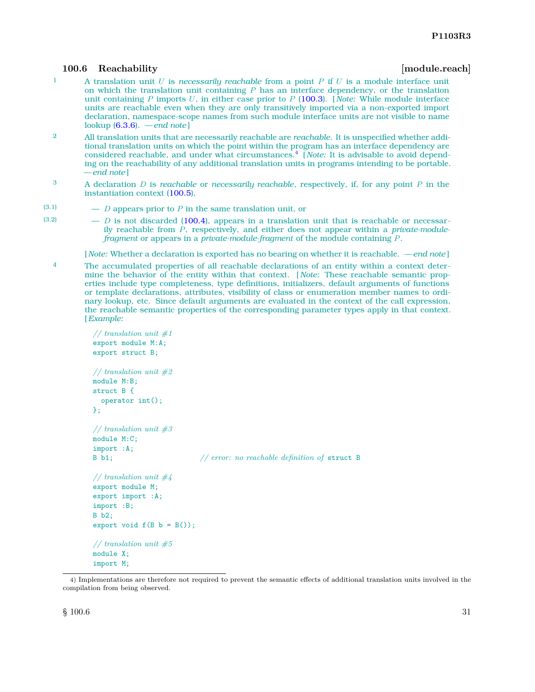#### <span id="page-32-0"></span>**100.6 Reachability [module.reach]**

- 1 A translation unit *U* is *necessarily reachable* from a point *P* if *U* is a module interface unit on which the translation unit containing *P* has an interface dependency, or the translation unit containing *P* imports *U*, in either case prior to *P* [\(100.3\)](#page-27-0). [ *Note:* While module interface units are reachable even when they are only transitively imported via a non-exported import declaration, namespace-scope names from such module interface units are not visible to name lookup [\(6.3.6\)](#page-14-4). *— end note* ]
- 2 All translation units that are necessarily reachable are *reachable*. It is unspecified whether additional translation units on which the point within the program has an interface dependency are considered reachable, and under what circumstances.[4](#page-32-1) [ *Note:* It is advisable to avoid depending on the reachability of any additional translation units in programs intending to be portable. *— end note* ]
- 3 A declaration *D* is *reachable* or *necessarily reachable*, respectively, if, for any point *P* in the instantiation context [\(100.5\)](#page-30-0),
- (3.1) *D* appears prior to *P* in the same translation unit, or
- $(3.2)$  *D* is not discarded [\(100.4\)](#page-28-0), appears in a translation unit that is reachable or necessarily reachable from *P*, respectively, and either does not appear within a *private-modulefragment* or appears in a *private-module-fragment* of the module containing *P*.

[ *Note:* Whether a declaration is exported has no bearing on whether it is reachable. *— end note* ]

<sup>4</sup> The accumulated properties of all reachable declarations of an entity within a context determine the behavior of the entity within that context. [ *Note:* These reachable semantic properties include type completeness, type definitions, initializers, default arguments of functions or template declarations, attributes, visibility of class or enumeration member names to ordinary lookup, etc. Since default arguments are evaluated in the context of the call expression, the reachable semantic properties of the corresponding parameter types apply in that context. [*Example:*

```
// translation unit #1
export module M:A;
export struct B;
// translation unit #2
module M:B;
struct B {
  operator int();
};
// translation unit #3
module M:C;
import :A;
B b1; // error: no reachable definition of struct B
// translation unit #4
export module M;
export import :A;
import :B;
B b2;
export void f(B b = B());
// translation unit #5
module X;
import M;
```
<span id="page-32-1"></span><sup>4)</sup> Implementations are therefore not required to prevent the semantic effects of additional translation units involved in the compilation from being observed.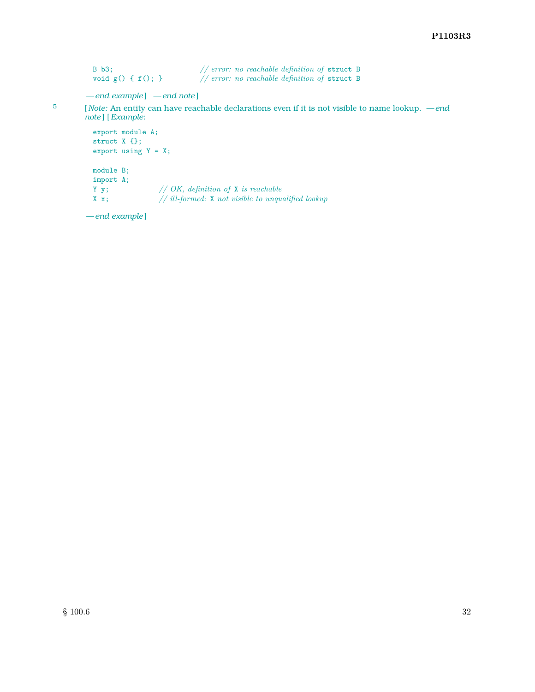```
B b3;<br>
// error: no reachable definition of struct B void g() { f(); }<br>
// error: no reachable definition of struct B
                                           \frac{1}{2} error: no reachable definition of struct B
```

```
— end example ] — end note ]
```
5 [ *Note:* An entity can have reachable declarations even if it is not visible to name lookup. *— end note* ] [*Example:*

```
export module A;
struct X {};
export using Y = X;
module B;
import A;
Y y; // OK, definition of X is reachable
X x; // ill-formed: X not visible to unqualified lookup
```
*— end example* ]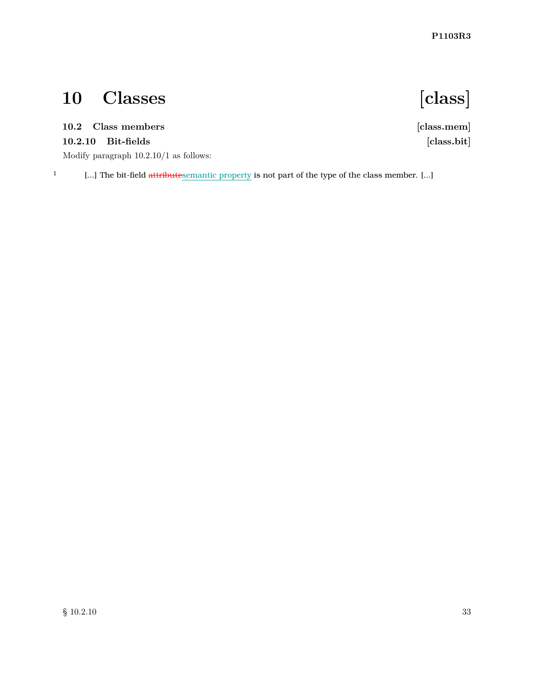# <span id="page-34-0"></span>**10 Classes [class]**

## <span id="page-34-1"></span>**10.2 Class members [class.mem]**

## **10.2.10 Bit-fields [class.bit]**

Modify paragraph 10.2.10/1 as follows:

<sup>1</sup> [...] The bit-field attributesemantic property is not part of the type of the class member. [...]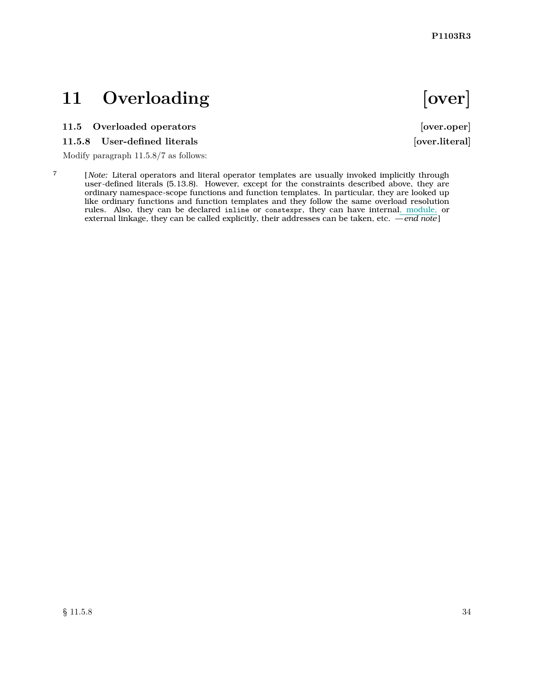## <span id="page-35-0"></span>11 Overloading **[over]**

### <span id="page-35-1"></span>**11.5 Overloaded operators [over.oper]**

#### **11.5.8 User-defined literals [over.literal]**

Modify paragraph 11.5.8/7 as follows:

7 [ *Note:* Literal operators and literal operator templates are usually invoked implicitly through user-defined literals (5.13.8). However, except for the constraints described above, they are ordinary namespace-scope functions and function templates. In particular, they are looked up like ordinary functions and function templates and they follow the same overload resolution rules. Also, they can be declared inline or constexpr, they can have internal, module, or external linkage, they can be called explicitly, their addresses can be taken, etc. *— end note* ]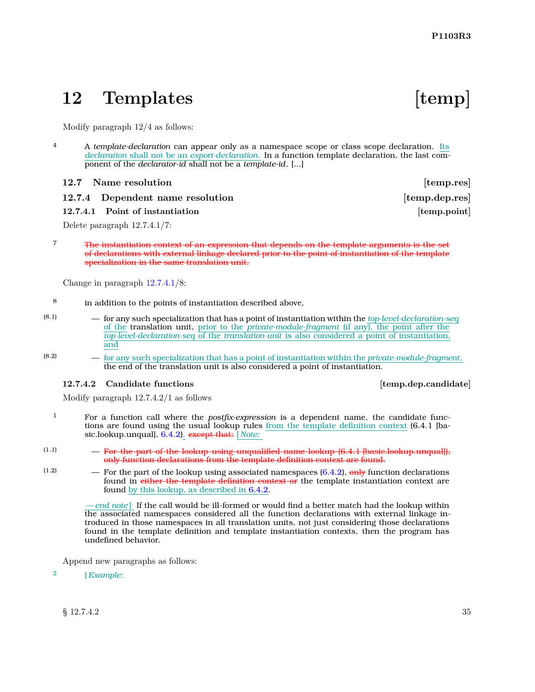## <span id="page-36-0"></span>12 Templates [temp]

Modify paragraph 12/4 as follows:

4 A *template-declaration* can appear only as a namespace scope or class scope declaration. Its *declaration* shall not be an *export-declaration*. In a function template declaration, the last component of the *declarator-id* shall not be a *template-id*. [...]

#### <span id="page-36-1"></span>**12.7** Name resolution **by the contract of temp.res**

**12.7.4** Dependent name resolution [temp.dep.res]

#### <span id="page-36-3"></span>**12.7.4.1** Point of instantiation **instantiation [temp.point]**

Delete paragraph 12.7.4.1/7:

7 The instantiation context of an expression that depends on the template arguments is the set of declarations with external linkage declared prior to the point of instantiation of the template specialization in the same translation unit.

Change in paragraph [12.7.4.1/](#page-36-3)8:

- 8 in addition to the points of instantiation described above,
- (8.1) for any such specialization that has a point of instantiation within the *top-level-declaration-seq* of the translation unit, prior to the *private-module-fragment* (if any), the point after the *top-level-declaration-seq* of the *translation-unit* is also considered a point of instantiation, and
- (8.2) for any such specialization that has a point of instantiation within the *private-module-fragment*, the end of the translation unit is also considered a point of instantiation.

#### <span id="page-36-2"></span>**12.7.4.2 Candidate functions [temp.dep.candidate]**

Modify paragraph 12.7.4.2/1 as follows

- 1 For a function call where the *postfix-expression* is a dependent name, the candidate functions are found using the usual lookup rules from the template definition context (6.4.1 [basic.lookup.unqual], [6.4.2\)](#page-15-1). except that: [ *Note:*
- $(1.1)$  For the part of the lookup using unqualified name lookup  $(6.4.1 \text{ |basicಿ, looking, unquad]})$ , only function declarations from the template definition context are found.
- $(1.2)$  For the part of the lookup using associated namespaces  $(6.4.2)$ , only function declarations found in either the template definition context or the template instantiation context are found by this lookup, as described in [6.4.2.](#page-15-1)

*— end note* ] If the call would be ill-formed or would find a better match had the lookup within the associated namespaces considered all the function declarations with external linkage introduced in those namespaces in all translation units, not just considering those declarations found in the template definition and template instantiation contexts, then the program has undefined behavior.

Append new paragraphs as follows:

2 [*Example:*

 $\S 12.7.4.2$  35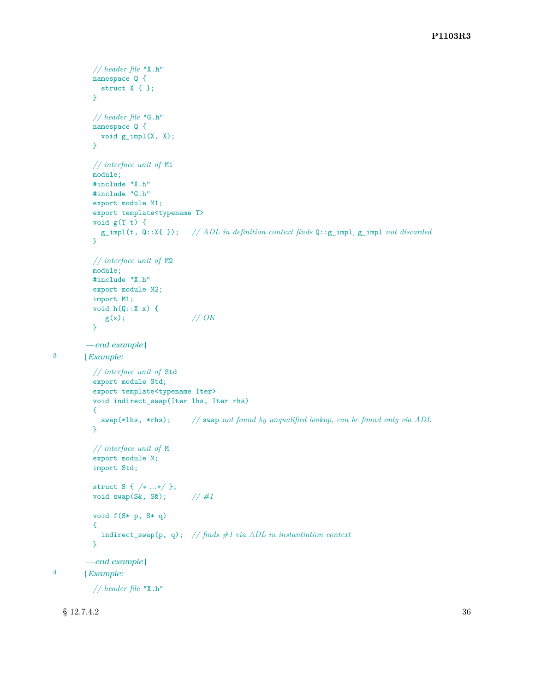```
// header file "X.h"
          namespace Q {
           struct X { };
          }
          // header file "G.h"
          namespace Q {
           void g_impl(X, X);
          }
          // interface unit of M1
          module;
          #include "X.h"
          #include "G.h"
          export module M1;
          export template<typename T>
          void g(T t) {
           g_impl(t, Q::X{ }); // ADL in definition context finds Q::g_impl, g_impl not discarded
          }
          // interface unit of M2
         module;
          #include "X.h"
          export module M2;
          import M1;
          void h(Q::X x) {
             g(x); // OK
          }
        — end example ]
3 [Example:
          // interface unit of Std
          export module Std;
          export template<typename Iter>
          void indirect_swap(Iter lhs, Iter rhs)
          {
            swap(*lhs, *rhs); // swap not found by unqualified lookup, can be found only via ADL
          }
          // interface unit of M
          export module M;
          import Std;
          struct S { /∗ ...∗/ };
          void swap(S&, S&); // #1
          void f(S* p, S* q)
          {
            indirect_swap(p, q); // finds #1 via ADL in instantiation context
          }
        — end example ]
4 [Example:
          // header file "X.h"
```

```
\S 12.7.4.2 36
```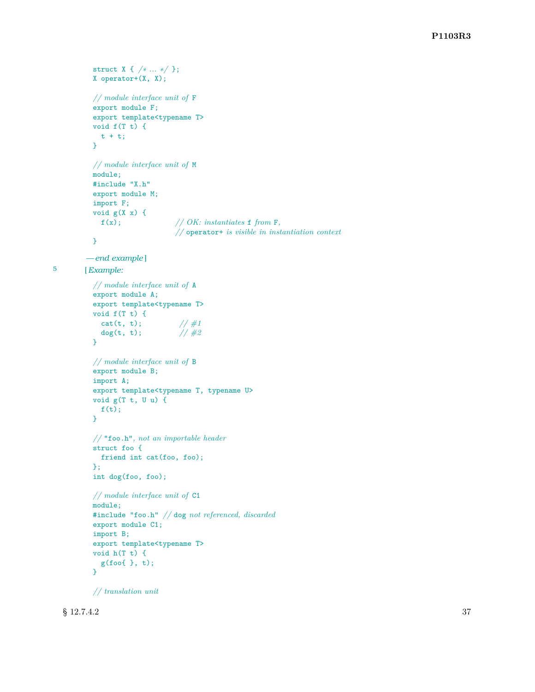```
struct X { /∗ ... ∗/ };
          X operator+(X, X);
          // module interface unit of F
          export module F;
          export template<typename T>
          void f(T t) {
            t + t;}
          // module interface unit of M
          module;
          #include "X.h"
          export module M;
          import F;
          void g(X x) {
            f(x); // OK: instantiates f from F,
                                // operator+ is visible in instantiation context
          }
        — end example ]
5 [Example:
          // module interface unit of A
          export module A;
          export template<typename T>
          void f(T t) {
            cat(t, t); \frac{1}{4}<br>dog(t, t); \frac{1}{4}dog(t, t);
          }
          // module interface unit of B
          export module B;
          import A;
          export template<typename T, typename U>
          void g(T t, U u) {
            f(t);}
          // "foo.h", not an importable header
          struct foo {
            friend int cat(foo, foo);
          };
          int dog(foo, foo);
          // module interface unit of C1
          module;
          #include "foo.h" // dog not referenced, discarded
          export module C1;
          import B;
          export template<typename T>
          void h(T t) {
            g(foo{ }, t);
          }
```
*// translation unit*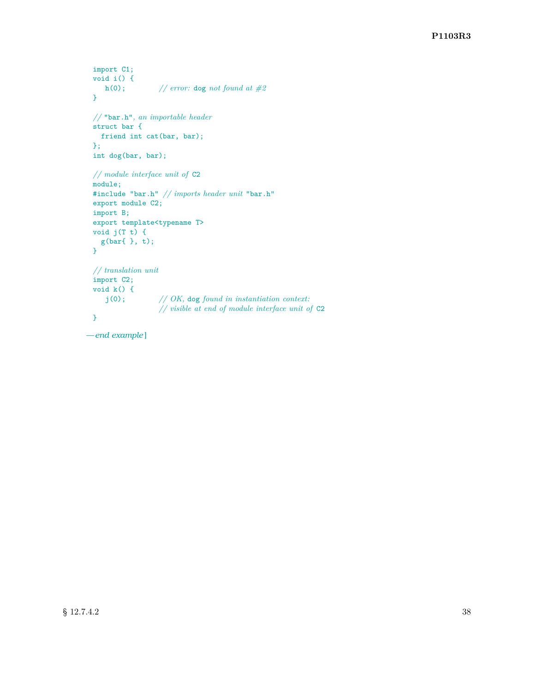```
import C1;
void i() {
  h(0); // error: dog not found at #2
}
// "bar.h", an importable header
struct bar {
 friend int cat(bar, bar);
};
int dog(bar, bar);
// module interface unit of C2
module;
#include "bar.h" // imports header unit "bar.h"
export module C2;
import B;
export template<typename T>
void j(T t) {
 g(bar{ }, t);
}
// translation unit
import C2;
void k() {
   j(0); // OK, dog found in instantiation context:
                // visible at end of module interface unit of C2
}
```
*— end example* ]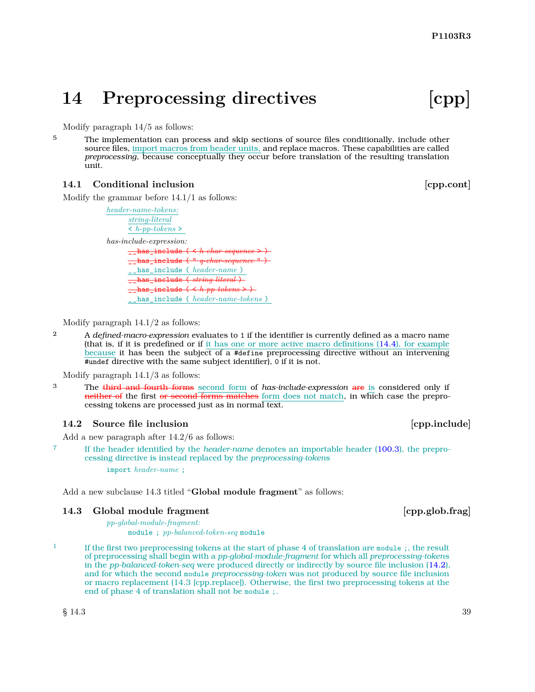## <span id="page-40-0"></span>**14 Preprocessing directives [cpp]**

Modify paragraph 14/5 as follows:

<sup>5</sup> The implementation can process and skip sections of source files conditionally, include other source files, import macros from header units, and replace macros. These capabilities are called *preprocessing*, because conceptually they occur before translation of the resulting translation unit.

#### <span id="page-40-1"></span>**14.1 Conditional inclusion inclusion in the set of the set of the set of the contract of the set of the set of the set of the set of the set of the set of the set of the set of the set of the set of the set of the set of**

Modify the grammar before 14.1/1 as follows:

*header-name-tokens: string-literal* < *h-pp-tokens* > *has-include-expression:*  $\frac{1}{2}$ has\_include \_\_has\_include ( " *q-char-sequence* " ) \_\_has\_include ( *header-name* ) \_\_has\_include ( *string-literal* ) \_\_has\_include ( < *h-pp-tokens* > ) \_\_has\_include ( *header-name-tokens* )

Modify paragraph 14.1/2 as follows:

<sup>2</sup> A *defined-macro-expression* evaluates to 1 if the identifier is currently defined as a macro name (that is, if it is predefined or if it has one or more active macro definitions [\(14.4\)](#page-41-0), for example because it has been the subject of a #define preprocessing directive without an intervening #undef directive with the same subject identifier), 0 if it is not.

Modify paragraph 14.1/3 as follows:

3 The third and fourth forms second form of *has-include-expression* are is considered only if neither of the first or second forms matches form does not match, in which case the preprocessing tokens are processed just as in normal text.

#### <span id="page-40-2"></span>**14.2** Source file inclusion **b 14.2** Source file inclusion

Add a new paragraph after 14.2/6 as follows:

7 If the header identified by the *header-name* denotes an importable header [\(100.3\)](#page-27-0), the preprocessing directive is instead replaced by the *preprocessing-token*s

import *header-name* ;

*pp-global-module-fragment:*

Add a new subclause 14.3 titled "**Global module fragment**" as follows:

#### <span id="page-40-3"></span>**14.3** Global module fragment **and its contract to contract the contract of the contract of the contract of the contract of the contract of the contract of the contract of the contract of the contract of the contract of th**

module ; *pp-balanced-token-seq* module

<sup>1</sup> If the first two preprocessing tokens at the start of phase 4 of translation are module ;, the result of preprocessing shall begin with a *pp-global-module-fragment* for which all *preprocessing-token*s in the *pp-balanced-token-seq* were produced directly or indirectly by source file inclusion [\(14.2\)](#page-40-2), and for which the second module *preprocessing-token* was not produced by source file inclusion or macro replacement (14.3 [cpp.replace]). Otherwise, the first two preprocessing tokens at the end of phase 4 of translation shall not be module ;.

 $\S$  14.3 39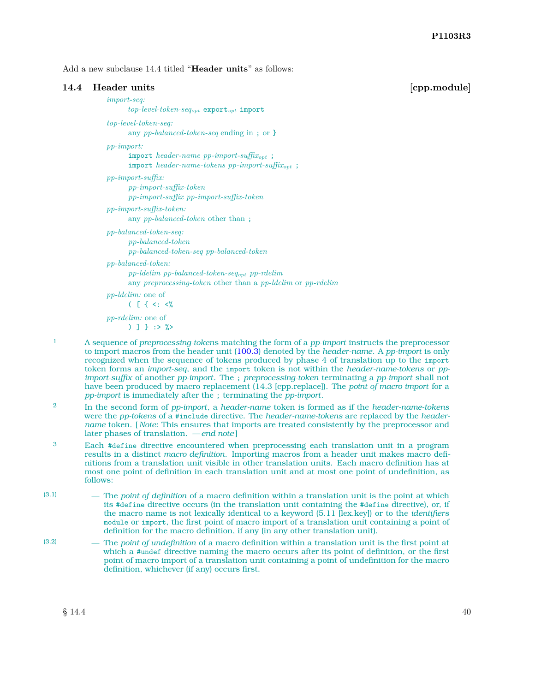Add a new subclause 14.4 titled "**Header units**" as follows:

<span id="page-41-0"></span>

| Header units                                                                                                                                                        | [cpp.module] |
|---------------------------------------------------------------------------------------------------------------------------------------------------------------------|--------------|
| $import-seq$ :<br>$top-level-token-seq_{opt}$ export <sub>opt</sub> import                                                                                          |              |
| $top-level-token-seq:$<br>any pp-balanced-token-seq ending in; or }                                                                                                 |              |
| $pp\text{-}import:$<br>import header-name pp-import-suffix <sub>opt</sub> ;<br>import header-name-tokens pp-import-suffix <sub>opt</sub> ;                          |              |
| $pp\text{-}import\text{-}suffix:$<br>$pp\text{-}import\text{-}suffix\text{-}token$<br>$pp\text{-}import\text{-}suffix\ pp\text{-}import\text{-}suffix\text{-}token$ |              |
| $pp\text{-}import\text{-}suffix\text{-}token\text{.}$<br>any <i>pp-balanced-token</i> other than;                                                                   |              |
| $pp$ -balanced-token-seq:<br>$pp-balanced-token$<br>$pp$ -balanced-token-seq $pp$ -balanced-token                                                                   |              |
| $pp$ -balanced-token:<br>$pp$ -ldelim $pp$ -balanced-token-seq <sub>opt</sub> $pp$ -rdelim<br>any preprocessing-token other than a pp-ldelim or pp-rdelim           |              |
| <i>pp-ldelim:</i> one of<br>$($ $\lceil$ { <: <%                                                                                                                    |              |
| <i>pp-rdelim:</i> one of<br>) 1 1 : > ? >                                                                                                                           |              |
|                                                                                                                                                                     |              |

- 1 A sequence of *preprocessing-token*s matching the form of a *pp-import* instructs the preprocessor to import macros from the header unit [\(100.3\)](#page-27-0) denoted by the *header-name*. A *pp-import* is only recognized when the sequence of tokens produced by phase 4 of translation up to the import token forms an *import-seq*, and the import token is not within the *header-name-tokens* or *ppimport-suffix* of another *pp-import*. The ; *preprocessing-token* terminating a *pp-import* shall not have been produced by macro replacement (14.3 [cpp.replace]). The *point of macro import* for a *pp-import* is immediately after the ; terminating the *pp-import*.
- 2 In the second form of *pp-import*, a *header-name* token is formed as if the *header-name-tokens* were the *pp-tokens* of a #include directive. The *header-name-tokens* are replaced by the *headername* token. [ *Note:* This ensures that imports are treated consistently by the preprocessor and later phases of translation. *— end note* ]
- <sup>3</sup> Each #define directive encountered when preprocessing each translation unit in a program results in a distinct *macro definition*. Importing macros from a header unit makes macro definitions from a translation unit visible in other translation units. Each macro definition has at most one point of definition in each translation unit and at most one point of undefinition, as follows:
- (3.1) The *point of definition* of a macro definition within a translation unit is the point at which its #define directive occurs (in the translation unit containing the #define directive), or, if the macro name is not lexically identical to a keyword (5.11 [lex.key]) or to the *identifier*s module or import, the first point of macro import of a translation unit containing a point of definition for the macro definition, if any (in any other translation unit).
- (3.2) The *point of undefinition* of a macro definition within a translation unit is the first point at which a #undef directive naming the macro occurs after its point of definition, or the first point of macro import of a translation unit containing a point of undefinition for the macro definition, whichever (if any) occurs first.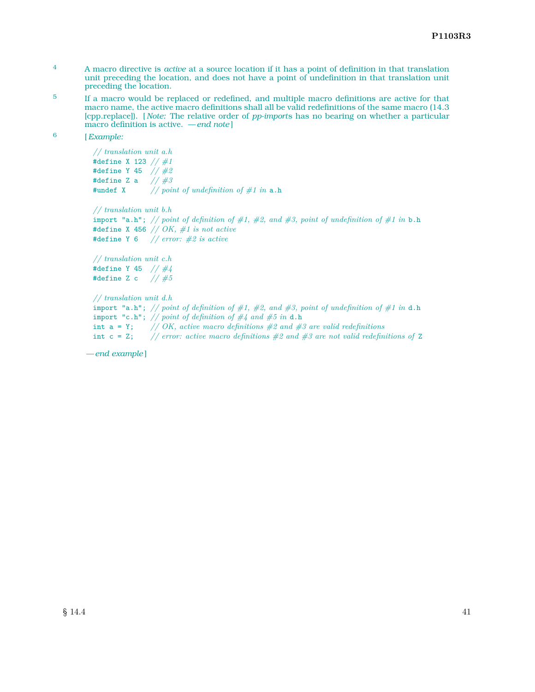- 4 A macro directive is *active* at a source location if it has a point of definition in that translation unit preceding the location, and does not have a point of undefinition in that translation unit preceding the location.
- 5 If a macro would be replaced or redefined, and multiple macro definitions are active for that macro name, the active macro definitions shall all be valid redefinitions of the same macro (14.3 [cpp.replace]). [ *Note:* The relative order of *pp-import*s has no bearing on whether a particular macro definition is active. *— end note* ]
- 6 [*Example:*

*// translation unit a.h* #define X 123 *// #1* #define Y 45 *// #2* #define Z a *// #3* #undef X *// point of undefinition of #1 in* a.h

*// translation unit b.h* import "a.h"; *// point of definition of #1, #2, and #3, point of undefinition of #1 in* b.h #define X 456 *// OK, #1 is not active* #define Y 6 *// error: #2 is active*

```
// translation unit c.h
#define Y 45 // #4
#define Z c // #5
```

```
// translation unit d.h
import "a.h"; // point of definition of #1, #2, and #3, point of undefinition of #1 in d.h
import "c.h"; // point of definition of #4 and #5 in d.h
int a = Y; // OK, active macro definitions #2 and #3 are valid redefinitions
int c = Z; // error: active macro definitions #2 and #3 are not valid redefinitions of Z
```
*— end example* ]